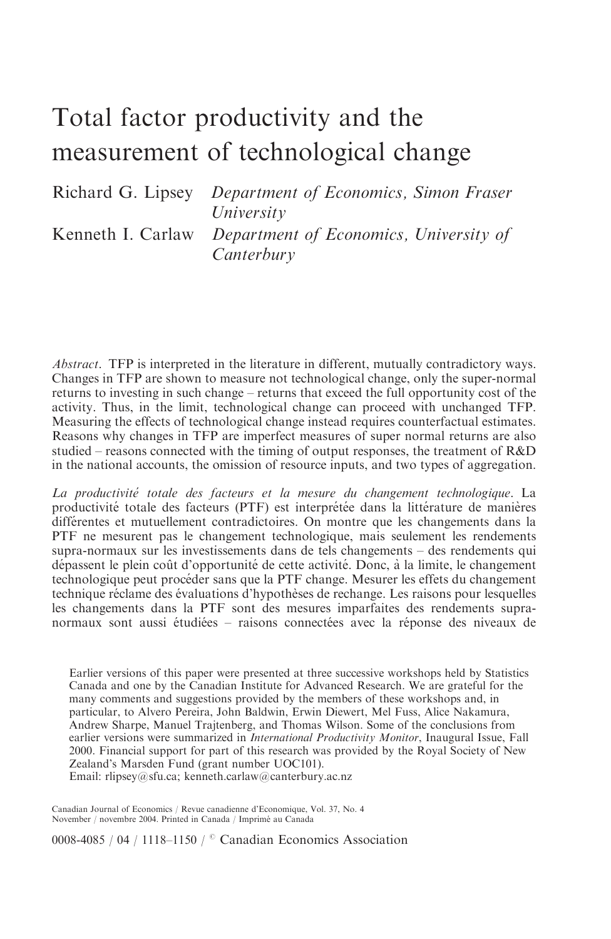# Total factor productivity and the measurement of technological change

|  | Richard G. Lipsey Department of Economics, Simon Fraser                |
|--|------------------------------------------------------------------------|
|  | University                                                             |
|  | <b>Kenneth I. Carlaw</b> <i>Department of Economics, University of</i> |
|  | Canterbury                                                             |

Abstract. TFP is interpreted in the literature in different, mutually contradictory ways. Changes in TFP are shown to measure not technological change, only the super-normal returns to investing in such change – returns that exceed the full opportunity cost of the activity. Thus, in the limit, technological change can proceed with unchanged TFP. Measuring the effects of technological change instead requires counterfactual estimates. Reasons why changes in TFP are imperfect measures of super normal returns are also studied – reasons connected with the timing of output responses, the treatment of R&D in the national accounts, the omission of resource inputs, and two types of aggregation.

La productivité totale des facteurs et la mesure du changement technologique. La productivité totale des facteurs (PTF) est interprétée dans la littérature de manières diffe´rentes et mutuellement contradictoires. On montre que les changements dans la PTF ne mesurent pas le changement technologique, mais seulement les rendements supra-normaux sur les investissements dans de tels changements – des rendements qui dépassent le plein coût d'opportunité de cette activité. Donc, à la limite, le changement technologique peut proce´der sans que la PTF change. Mesurer les effets du changement technique réclame des évaluations d'hypothèses de rechange. Les raisons pour lesquelles les changements dans la PTF sont des mesures imparfaites des rendements supranormaux sont aussi étudiées – raisons connectées avec la réponse des niveaux de

Email: rlipsey@sfu.ca; kenneth.carlaw@canterbury.ac.nz

Canadian Journal of Economics / Revue canadienne d'Economique, Vol. 37, No. 4<br>November / novembre 2004. Printed in Canada / Imprimé au Canada

0008-4085 / 04 / 1118-1150 / © Canadian Economics Association

Earlier versions of this paper were presented at three successive workshops held by Statistics Canada and one by the Canadian Institute for Advanced Research. We are grateful for the many comments and suggestions provided by the members of these workshops and, in particular, to Alvero Pereira, John Baldwin, Erwin Diewert, Mel Fuss, Alice Nakamura, Andrew Sharpe, Manuel Trajtenberg, and Thomas Wilson. Some of the conclusions from earlier versions were summarized in *International Productivity Monitor*, Inaugural Issue, Fall 2000. Financial support for part of this research was provided by the Royal Society of New Zealand's Marsden Fund (grant number UOC101).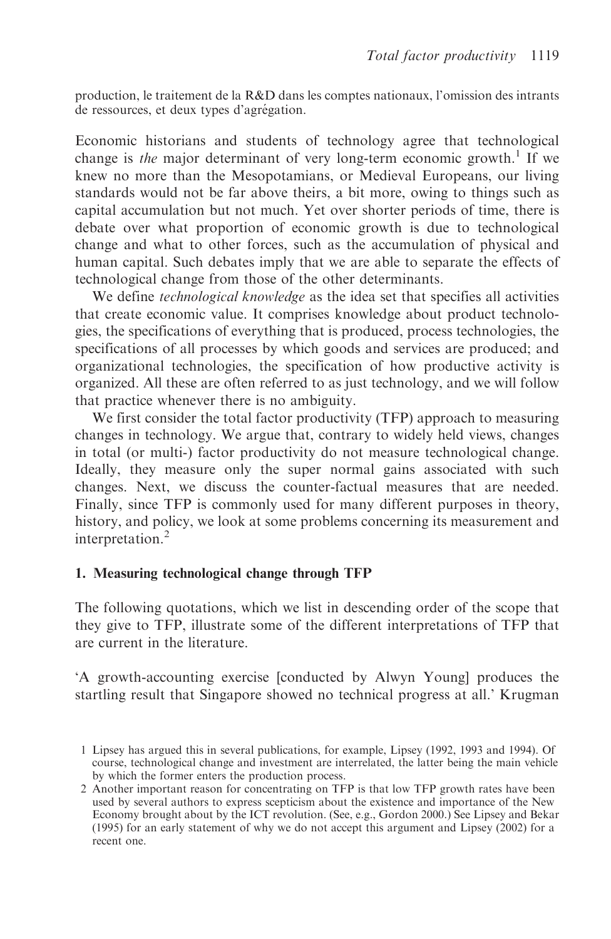production, le traitement de la R&D dans les comptes nationaux, l'omission des intrants de ressources, et deux types d'agrégation.

Economic historians and students of technology agree that technological change is the major determinant of very long-term economic growth.<sup>1</sup> If we knew no more than the Mesopotamians, or Medieval Europeans, our living standards would not be far above theirs, a bit more, owing to things such as capital accumulation but not much. Yet over shorter periods of time, there is debate over what proportion of economic growth is due to technological change and what to other forces, such as the accumulation of physical and human capital. Such debates imply that we are able to separate the effects of technological change from those of the other determinants.

We define *technological knowledge* as the idea set that specifies all activities that create economic value. It comprises knowledge about product technologies, the specifications of everything that is produced, process technologies, the specifications of all processes by which goods and services are produced; and organizational technologies, the specification of how productive activity is organized. All these are often referred to as just technology, and we will follow that practice whenever there is no ambiguity.

We first consider the total factor productivity (TFP) approach to measuring changes in technology. We argue that, contrary to widely held views, changes in total (or multi-) factor productivity do not measure technological change. Ideally, they measure only the super normal gains associated with such changes. Next, we discuss the counter-factual measures that are needed. Finally, since TFP is commonly used for many different purposes in theory, history, and policy, we look at some problems concerning its measurement and interpretation.<sup>2</sup>

## 1. Measuring technological change through TFP

The following quotations, which we list in descending order of the scope that they give to TFP, illustrate some of the different interpretations of TFP that are current in the literature.

'A growth-accounting exercise [conducted by Alwyn Young] produces the startling result that Singapore showed no technical progress at all.' Krugman

<sup>1</sup> Lipsey has argued this in several publications, for example, Lipsey (1992, 1993 and 1994). Of course, technological change and investment are interrelated, the latter being the main vehicle by which the former enters the production process.

<sup>2</sup> Another important reason for concentrating on TFP is that low TFP growth rates have been used by several authors to express scepticism about the existence and importance of the New Economy brought about by the ICT revolution. (See, e.g., Gordon 2000.) See Lipsey and Bekar (1995) for an early statement of why we do not accept this argument and Lipsey (2002) for a recent one.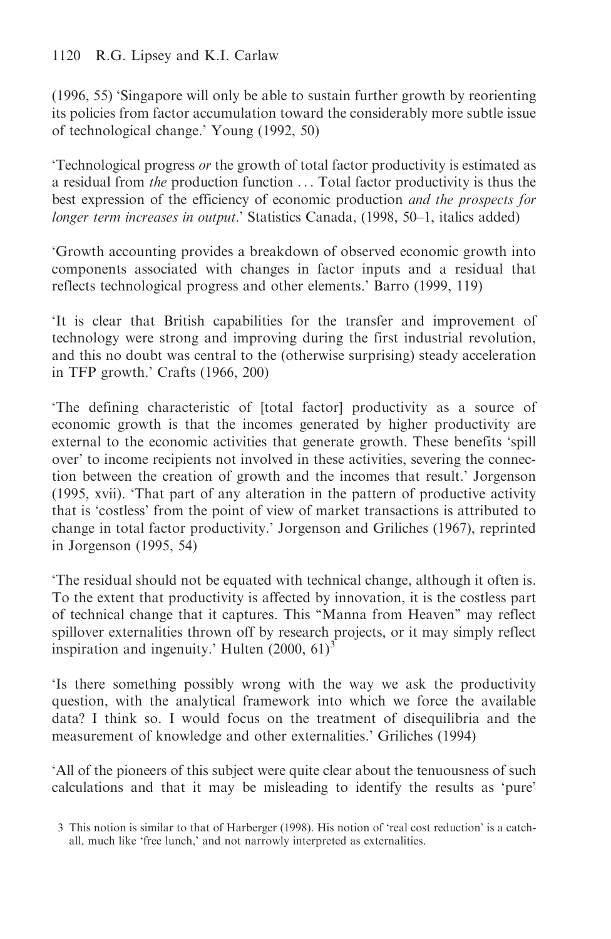# 1120 R.G. Lipsey and K.I. Carlaw

(1996, 55) 'Singapore will only be able to sustain further growth by reorienting its policies from factor accumulation toward the considerably more subtle issue of technological change.' Young (1992, 50)

'Technological progress or the growth of total factor productivity is estimated as a residual from the production function ... Total factor productivity is thus the best expression of the efficiency of economic production and the prospects for longer term increases in output.' Statistics Canada, (1998, 50–1, italics added)

'Growth accounting provides a breakdown of observed economic growth into components associated with changes in factor inputs and a residual that reflects technological progress and other elements.' Barro (1999, 119)

'It is clear that British capabilities for the transfer and improvement of technology were strong and improving during the first industrial revolution, and this no doubt was central to the (otherwise surprising) steady acceleration in TFP growth.' Crafts (1966, 200)

'The defining characteristic of [total factor] productivity as a source of economic growth is that the incomes generated by higher productivity are external to the economic activities that generate growth. These benefits 'spill over' to income recipients not involved in these activities, severing the connection between the creation of growth and the incomes that result.' Jorgenson (1995, xvii). 'That part of any alteration in the pattern of productive activity that is 'costless' from the point of view of market transactions is attributed to change in total factor productivity.' Jorgenson and Griliches (1967), reprinted in Jorgenson (1995, 54)

'The residual should not be equated with technical change, although it often is. To the extent that productivity is affected by innovation, it is the costless part of technical change that it captures. This ''Manna from Heaven'' may reflect spillover externalities thrown off by research projects, or it may simply reflect inspiration and ingenuity.' Hulten  $(2000, 61)^3$ 

'Is there something possibly wrong with the way we ask the productivity question, with the analytical framework into which we force the available data? I think so. I would focus on the treatment of disequilibria and the measurement of knowledge and other externalities.' Griliches (1994)

'All of the pioneers of this subject were quite clear about the tenuousness of such calculations and that it may be misleading to identify the results as 'pure'

<sup>3</sup> This notion is similar to that of Harberger (1998). His notion of 'real cost reduction' is a catchall, much like 'free lunch,' and not narrowly interpreted as externalities.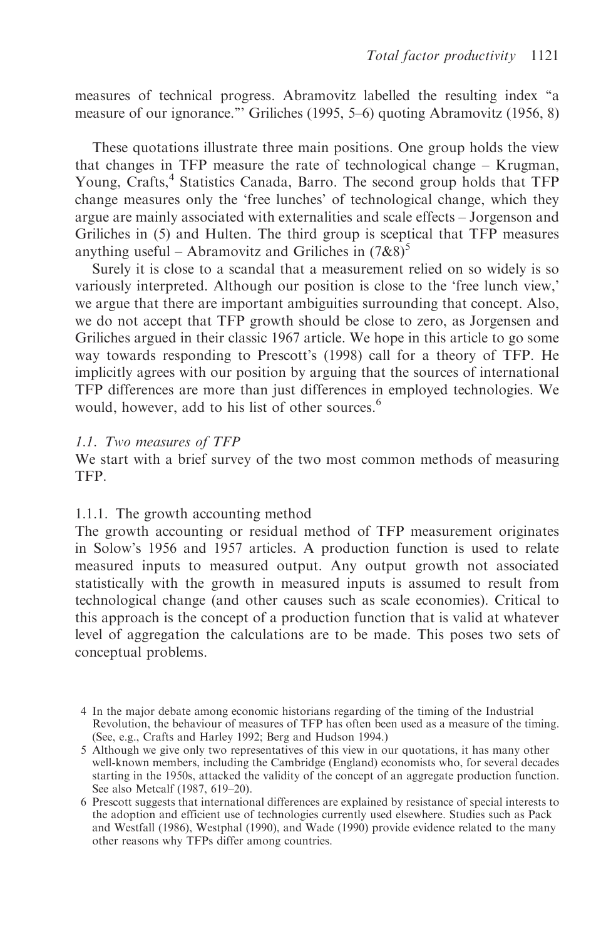measures of technical progress. Abramovitz labelled the resulting index ''a measure of our ignorance.''' Griliches (1995, 5–6) quoting Abramovitz (1956, 8)

These quotations illustrate three main positions. One group holds the view that changes in TFP measure the rate of technological change – Krugman, Young, Crafts,<sup>4</sup> Statistics Canada, Barro. The second group holds that TFP change measures only the 'free lunches' of technological change, which they argue are mainly associated with externalities and scale effects – Jorgenson and Griliches in (5) and Hulten. The third group is sceptical that TFP measures anything useful – Abramovitz and Griliches in  $(7\&8)^5$ 

Surely it is close to a scandal that a measurement relied on so widely is so variously interpreted. Although our position is close to the 'free lunch view,' we argue that there are important ambiguities surrounding that concept. Also, we do not accept that TFP growth should be close to zero, as Jorgensen and Griliches argued in their classic 1967 article. We hope in this article to go some way towards responding to Prescott's (1998) call for a theory of TFP. He implicitly agrees with our position by arguing that the sources of international TFP differences are more than just differences in employed technologies. We would, however, add to his list of other sources.<sup>6</sup>

## 1.1. Two measures of TFP

We start with a brief survey of the two most common methods of measuring TFP.

## 1.1.1. The growth accounting method

The growth accounting or residual method of TFP measurement originates in Solow's 1956 and 1957 articles. A production function is used to relate measured inputs to measured output. Any output growth not associated statistically with the growth in measured inputs is assumed to result from technological change (and other causes such as scale economies). Critical to this approach is the concept of a production function that is valid at whatever level of aggregation the calculations are to be made. This poses two sets of conceptual problems.

<sup>4</sup> In the major debate among economic historians regarding of the timing of the Industrial Revolution, the behaviour of measures of TFP has often been used as a measure of the timing. (See, e.g., Crafts and Harley 1992; Berg and Hudson 1994.)

<sup>5</sup> Although we give only two representatives of this view in our quotations, it has many other well-known members, including the Cambridge (England) economists who, for several decades starting in the 1950s, attacked the validity of the concept of an aggregate production function. See also Metcalf (1987, 619–20).

<sup>6</sup> Prescott suggests that international differences are explained by resistance of special interests to the adoption and efficient use of technologies currently used elsewhere. Studies such as Pack and Westfall (1986), Westphal (1990), and Wade (1990) provide evidence related to the many other reasons why TFPs differ among countries.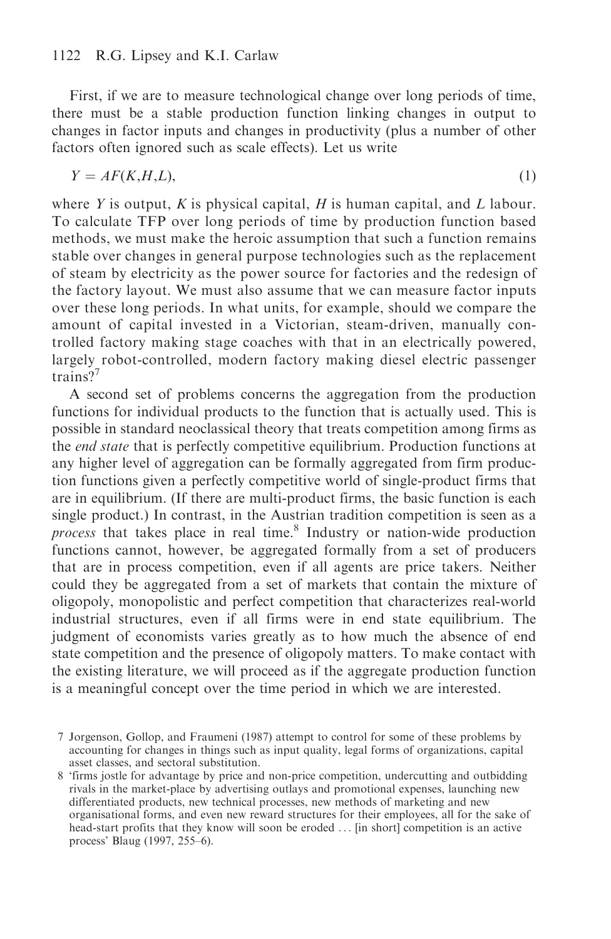First, if we are to measure technological change over long periods of time, there must be a stable production function linking changes in output to changes in factor inputs and changes in productivity (plus a number of other factors often ignored such as scale effects). Let us write

$$
Y = AF(K, H, L),\tag{1}
$$

where Y is output, K is physical capital, H is human capital, and L labour. To calculate TFP over long periods of time by production function based methods, we must make the heroic assumption that such a function remains stable over changes in general purpose technologies such as the replacement of steam by electricity as the power source for factories and the redesign of the factory layout. We must also assume that we can measure factor inputs over these long periods. In what units, for example, should we compare the amount of capital invested in a Victorian, steam-driven, manually controlled factory making stage coaches with that in an electrically powered, largely robot-controlled, modern factory making diesel electric passenger trains?<sup>7</sup>

A second set of problems concerns the aggregation from the production functions for individual products to the function that is actually used. This is possible in standard neoclassical theory that treats competition among firms as the end state that is perfectly competitive equilibrium. Production functions at any higher level of aggregation can be formally aggregated from firm production functions given a perfectly competitive world of single-product firms that are in equilibrium. (If there are multi-product firms, the basic function is each single product.) In contrast, in the Austrian tradition competition is seen as a process that takes place in real time.<sup>8</sup> Industry or nation-wide production functions cannot, however, be aggregated formally from a set of producers that are in process competition, even if all agents are price takers. Neither could they be aggregated from a set of markets that contain the mixture of oligopoly, monopolistic and perfect competition that characterizes real-world industrial structures, even if all firms were in end state equilibrium. The judgment of economists varies greatly as to how much the absence of end state competition and the presence of oligopoly matters. To make contact with the existing literature, we will proceed as if the aggregate production function is a meaningful concept over the time period in which we are interested.

<sup>7</sup> Jorgenson, Gollop, and Fraumeni (1987) attempt to control for some of these problems by accounting for changes in things such as input quality, legal forms of organizations, capital asset classes, and sectoral substitution.

<sup>8 &#</sup>x27;firms jostle for advantage by price and non-price competition, undercutting and outbidding rivals in the market-place by advertising outlays and promotional expenses, launching new differentiated products, new technical processes, new methods of marketing and new organisational forms, and even new reward structures for their employees, all for the sake of head-start profits that they know will soon be eroded ... [in short] competition is an active process' Blaug (1997, 255–6).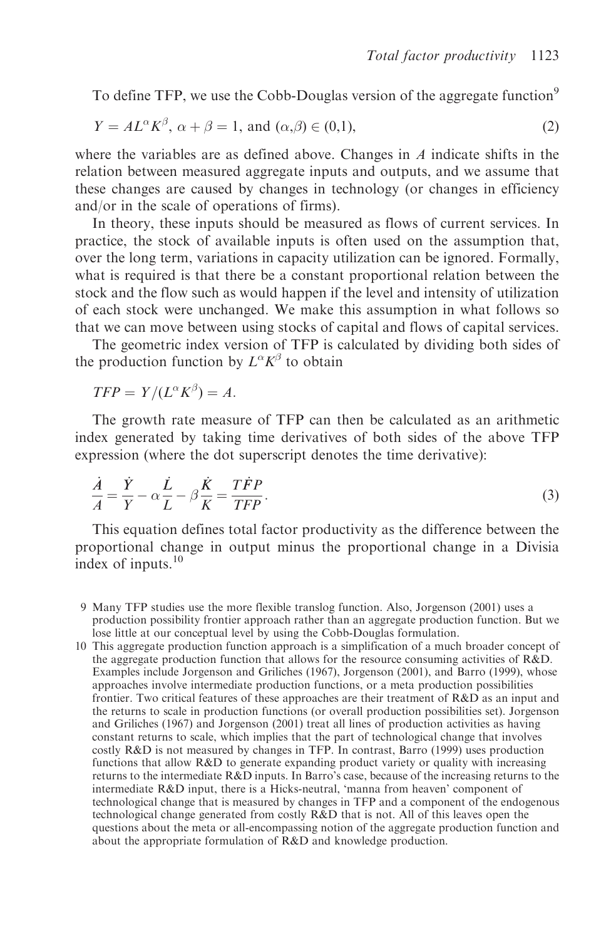To define TFP, we use the Cobb-Douglas version of the aggregate function<sup>9</sup>

$$
Y = AL^{\alpha} K^{\beta}, \ \alpha + \beta = 1, \text{ and } (\alpha, \beta) \in (0, 1), \tag{2}
$$

where the variables are as defined above. Changes in  $\vec{A}$  indicate shifts in the relation between measured aggregate inputs and outputs, and we assume that these changes are caused by changes in technology (or changes in efficiency and/or in the scale of operations of firms).

In theory, these inputs should be measured as flows of current services. In practice, the stock of available inputs is often used on the assumption that, over the long term, variations in capacity utilization can be ignored. Formally, what is required is that there be a constant proportional relation between the stock and the flow such as would happen if the level and intensity of utilization of each stock were unchanged. We make this assumption in what follows so that we can move between using stocks of capital and flows of capital services.

The geometric index version of TFP is calculated by dividing both sides of the production function by  $L^{\alpha} K^{\beta}$  to obtain

$$
TFP = Y/(L^{\alpha}K^{\beta}) = A.
$$

The growth rate measure of TFP can then be calculated as an arithmetic index generated by taking time derivatives of both sides of the above TFP expression (where the dot superscript denotes the time derivative):

$$
\frac{\dot{A}}{A} = \frac{\dot{Y}}{Y} - \alpha \frac{\dot{L}}{L} - \beta \frac{\dot{K}}{K} = \frac{T\dot{F}P}{TFP}.
$$
\n(3)

This equation defines total factor productivity as the difference between the proportional change in output minus the proportional change in a Divisia index of inputs.<sup>10</sup>

- 9 Many TFP studies use the more flexible translog function. Also, Jorgenson (2001) uses a production possibility frontier approach rather than an aggregate production function. But we lose little at our conceptual level by using the Cobb-Douglas formulation.
- 10 This aggregate production function approach is a simplification of a much broader concept of the aggregate production function that allows for the resource consuming activities of R&D. Examples include Jorgenson and Griliches (1967), Jorgenson (2001), and Barro (1999), whose approaches involve intermediate production functions, or a meta production possibilities frontier. Two critical features of these approaches are their treatment of R&D as an input and the returns to scale in production functions (or overall production possibilities set). Jorgenson and Griliches (1967) and Jorgenson (2001) treat all lines of production activities as having constant returns to scale, which implies that the part of technological change that involves costly R&D is not measured by changes in TFP. In contrast, Barro (1999) uses production functions that allow R&D to generate expanding product variety or quality with increasing returns to the intermediate R&D inputs. In Barro's case, because of the increasing returns to the intermediate R&D input, there is a Hicks-neutral, 'manna from heaven' component of technological change that is measured by changes in TFP and a component of the endogenous technological change generated from costly R&D that is not. All of this leaves open the questions about the meta or all-encompassing notion of the aggregate production function and about the appropriate formulation of R&D and knowledge production.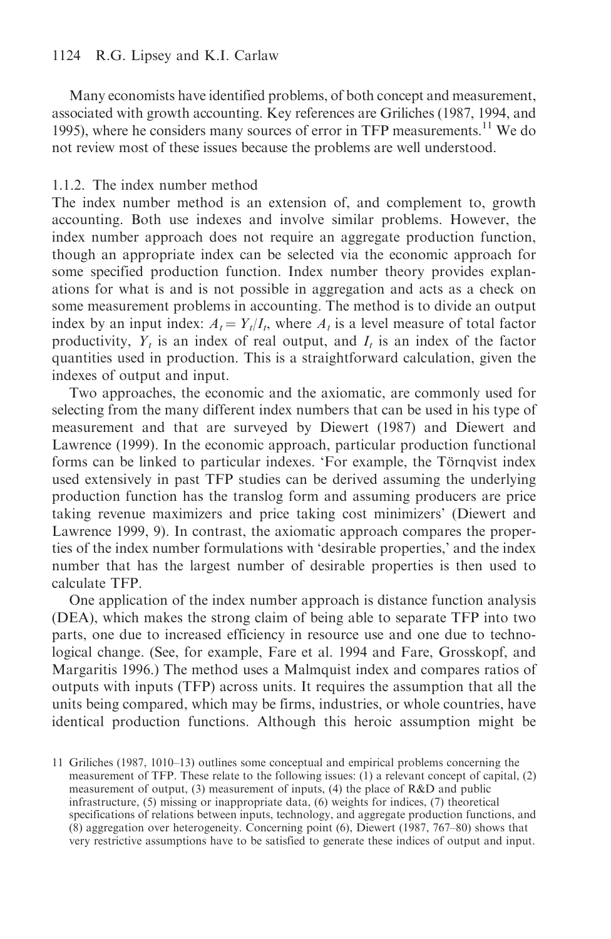Many economists have identified problems, of both concept and measurement, associated with growth accounting. Key references are Griliches (1987, 1994, and 1995), where he considers many sources of error in TFP measurements.<sup>11</sup> We do not review most of these issues because the problems are well understood.

## 1.1.2. The index number method

The index number method is an extension of, and complement to, growth accounting. Both use indexes and involve similar problems. However, the index number approach does not require an aggregate production function, though an appropriate index can be selected via the economic approach for some specified production function. Index number theory provides explanations for what is and is not possible in aggregation and acts as a check on some measurement problems in accounting. The method is to divide an output index by an input index:  $A_t = Y_t/I_t$ , where  $A_t$  is a level measure of total factor productivity,  $Y_t$  is an index of real output, and  $I_t$  is an index of the factor quantities used in production. This is a straightforward calculation, given the indexes of output and input.

Two approaches, the economic and the axiomatic, are commonly used for selecting from the many different index numbers that can be used in his type of measurement and that are surveyed by Diewert (1987) and Diewert and Lawrence (1999). In the economic approach, particular production functional forms can be linked to particular indexes. 'For example, the Törnqvist index used extensively in past TFP studies can be derived assuming the underlying production function has the translog form and assuming producers are price taking revenue maximizers and price taking cost minimizers' (Diewert and Lawrence 1999, 9). In contrast, the axiomatic approach compares the properties of the index number formulations with 'desirable properties,' and the index number that has the largest number of desirable properties is then used to calculate TFP.

One application of the index number approach is distance function analysis (DEA), which makes the strong claim of being able to separate TFP into two parts, one due to increased efficiency in resource use and one due to technological change. (See, for example, Fare et al. 1994 and Fare, Grosskopf, and Margaritis 1996.) The method uses a Malmquist index and compares ratios of outputs with inputs (TFP) across units. It requires the assumption that all the units being compared, which may be firms, industries, or whole countries, have identical production functions. Although this heroic assumption might be

<sup>11</sup> Griliches (1987, 1010–13) outlines some conceptual and empirical problems concerning the measurement of TFP. These relate to the following issues: (1) a relevant concept of capital, (2) measurement of output, (3) measurement of inputs, (4) the place of R&D and public infrastructure, (5) missing or inappropriate data, (6) weights for indices, (7) theoretical specifications of relations between inputs, technology, and aggregate production functions, and (8) aggregation over heterogeneity. Concerning point (6), Diewert (1987, 767–80) shows that very restrictive assumptions have to be satisfied to generate these indices of output and input.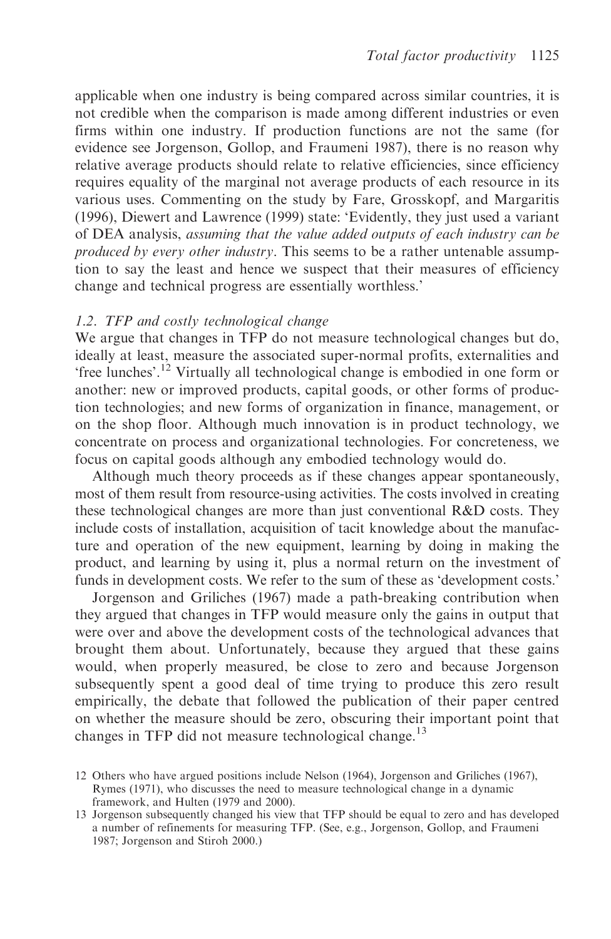applicable when one industry is being compared across similar countries, it is not credible when the comparison is made among different industries or even firms within one industry. If production functions are not the same (for evidence see Jorgenson, Gollop, and Fraumeni 1987), there is no reason why relative average products should relate to relative efficiencies, since efficiency requires equality of the marginal not average products of each resource in its various uses. Commenting on the study by Fare, Grosskopf, and Margaritis (1996), Diewert and Lawrence (1999) state: 'Evidently, they just used a variant of DEA analysis, assuming that the value added outputs of each industry can be produced by every other industry. This seems to be a rather untenable assumption to say the least and hence we suspect that their measures of efficiency change and technical progress are essentially worthless.'

## 1.2. TFP and costly technological change

We argue that changes in TFP do not measure technological changes but do, ideally at least, measure the associated super-normal profits, externalities and 'free lunches'.12 Virtually all technological change is embodied in one form or another: new or improved products, capital goods, or other forms of production technologies; and new forms of organization in finance, management, or on the shop floor. Although much innovation is in product technology, we concentrate on process and organizational technologies. For concreteness, we focus on capital goods although any embodied technology would do.

Although much theory proceeds as if these changes appear spontaneously, most of them result from resource-using activities. The costs involved in creating these technological changes are more than just conventional R&D costs. They include costs of installation, acquisition of tacit knowledge about the manufacture and operation of the new equipment, learning by doing in making the product, and learning by using it, plus a normal return on the investment of funds in development costs. We refer to the sum of these as 'development costs.'

Jorgenson and Griliches (1967) made a path-breaking contribution when they argued that changes in TFP would measure only the gains in output that were over and above the development costs of the technological advances that brought them about. Unfortunately, because they argued that these gains would, when properly measured, be close to zero and because Jorgenson subsequently spent a good deal of time trying to produce this zero result empirically, the debate that followed the publication of their paper centred on whether the measure should be zero, obscuring their important point that changes in TFP did not measure technological change.<sup>13</sup>

<sup>12</sup> Others who have argued positions include Nelson (1964), Jorgenson and Griliches (1967), Rymes (1971), who discusses the need to measure technological change in a dynamic framework, and Hulten (1979 and 2000).

<sup>13</sup> Jorgenson subsequently changed his view that TFP should be equal to zero and has developed a number of refinements for measuring TFP. (See, e.g., Jorgenson, Gollop, and Fraumeni 1987; Jorgenson and Stiroh 2000.)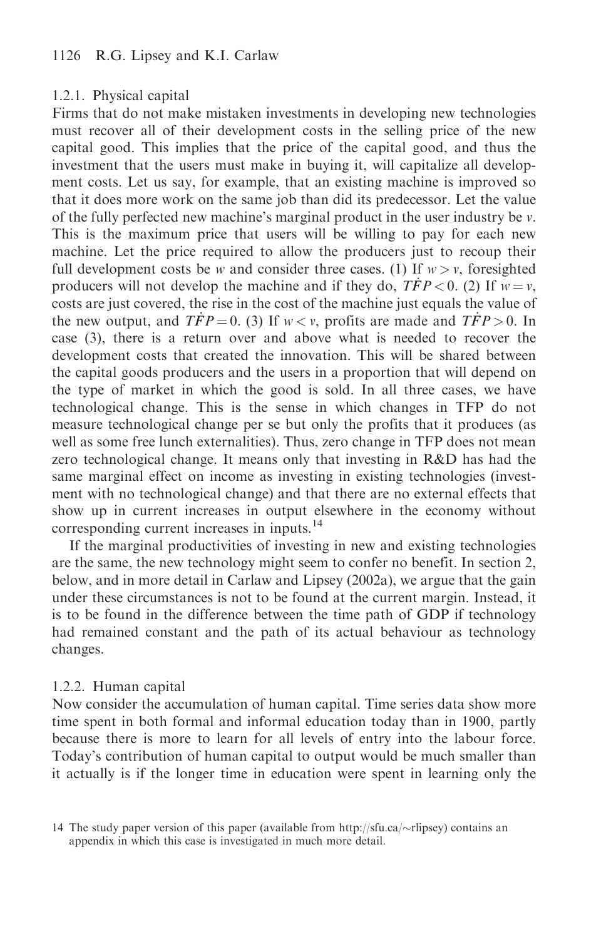## 1.2.1. Physical capital

Firms that do not make mistaken investments in developing new technologies must recover all of their development costs in the selling price of the new capital good. This implies that the price of the capital good, and thus the investment that the users must make in buying it, will capitalize all development costs. Let us say, for example, that an existing machine is improved so that it does more work on the same job than did its predecessor. Let the value of the fully perfected new machine's marginal product in the user industry be  $\nu$ . This is the maximum price that users will be willing to pay for each new machine. Let the price required to allow the producers just to recoup their full development costs be w and consider three cases. (1) If  $w > v$ , foresighted producers will not develop the machine and if they do,  $TFP < 0$ . (2) If  $w = v$ , costs are just covered, the rise in the cost of the machine just equals the value of the new output, and  $T\ddot{F}P = 0$ . (3) If  $w < v$ , profits are made and  $T\ddot{F}P > 0$ . In case (3), there is a return over and above what is needed to recover the development costs that created the innovation. This will be shared between the capital goods producers and the users in a proportion that will depend on the type of market in which the good is sold. In all three cases, we have technological change. This is the sense in which changes in TFP do not measure technological change per se but only the profits that it produces (as well as some free lunch externalities). Thus, zero change in TFP does not mean zero technological change. It means only that investing in R&D has had the same marginal effect on income as investing in existing technologies (investment with no technological change) and that there are no external effects that show up in current increases in output elsewhere in the economy without corresponding current increases in inputs.<sup>14</sup>

If the marginal productivities of investing in new and existing technologies are the same, the new technology might seem to confer no benefit. In section 2, below, and in more detail in Carlaw and Lipsey (2002a), we argue that the gain under these circumstances is not to be found at the current margin. Instead, it is to be found in the difference between the time path of GDP if technology had remained constant and the path of its actual behaviour as technology changes.

## 1.2.2. Human capital

Now consider the accumulation of human capital. Time series data show more time spent in both formal and informal education today than in 1900, partly because there is more to learn for all levels of entry into the labour force. Today's contribution of human capital to output would be much smaller than it actually is if the longer time in education were spent in learning only the

<sup>14</sup> The study paper version of this paper (available from http://sfu.ca/ $\sim$ rlipsey) contains an appendix in which this case is investigated in much more detail.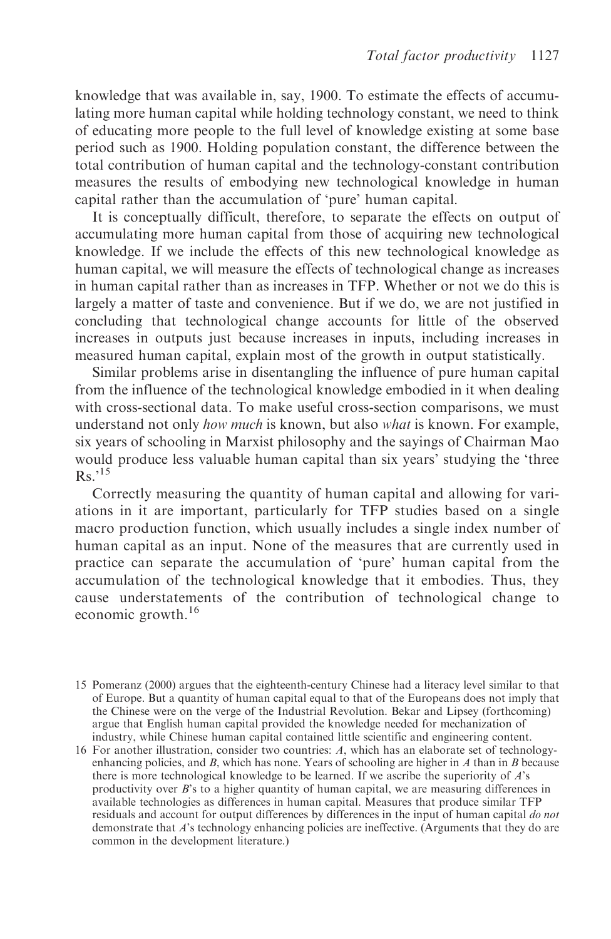knowledge that was available in, say, 1900. To estimate the effects of accumulating more human capital while holding technology constant, we need to think of educating more people to the full level of knowledge existing at some base period such as 1900. Holding population constant, the difference between the total contribution of human capital and the technology-constant contribution measures the results of embodying new technological knowledge in human capital rather than the accumulation of 'pure' human capital.

It is conceptually difficult, therefore, to separate the effects on output of accumulating more human capital from those of acquiring new technological knowledge. If we include the effects of this new technological knowledge as human capital, we will measure the effects of technological change as increases in human capital rather than as increases in TFP. Whether or not we do this is largely a matter of taste and convenience. But if we do, we are not justified in concluding that technological change accounts for little of the observed increases in outputs just because increases in inputs, including increases in measured human capital, explain most of the growth in output statistically.

Similar problems arise in disentangling the influence of pure human capital from the influence of the technological knowledge embodied in it when dealing with cross-sectional data. To make useful cross-section comparisons, we must understand not only *how much* is known, but also *what* is known. For example, six years of schooling in Marxist philosophy and the sayings of Chairman Mao would produce less valuable human capital than six years' studying the 'three  $R_{S.}$ <sup>,15</sup>

Correctly measuring the quantity of human capital and allowing for variations in it are important, particularly for TFP studies based on a single macro production function, which usually includes a single index number of human capital as an input. None of the measures that are currently used in practice can separate the accumulation of 'pure' human capital from the accumulation of the technological knowledge that it embodies. Thus, they cause understatements of the contribution of technological change to economic growth.<sup>16</sup>

- 15 Pomeranz (2000) argues that the eighteenth-century Chinese had a literacy level similar to that of Europe. But a quantity of human capital equal to that of the Europeans does not imply that the Chinese were on the verge of the Industrial Revolution. Bekar and Lipsey (forthcoming) argue that English human capital provided the knowledge needed for mechanization of industry, while Chinese human capital contained little scientific and engineering content.
- 16 For another illustration, consider two countries: A, which has an elaborate set of technologyenhancing policies, and  $B$ , which has none. Years of schooling are higher in  $A$  than in  $B$  because there is more technological knowledge to be learned. If we ascribe the superiority of A's productivity over  $B$ 's to a higher quantity of human capital, we are measuring differences in available technologies as differences in human capital. Measures that produce similar TFP residuals and account for output differences by differences in the input of human capital do not demonstrate that A's technology enhancing policies are ineffective. (Arguments that they do are common in the development literature.)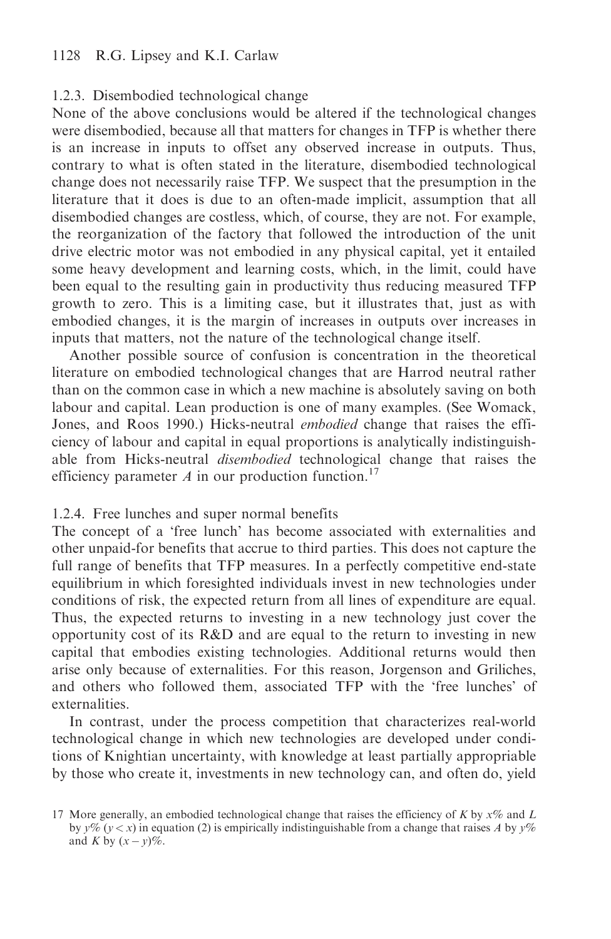# 1.2.3. Disembodied technological change

None of the above conclusions would be altered if the technological changes were disembodied, because all that matters for changes in TFP is whether there is an increase in inputs to offset any observed increase in outputs. Thus, contrary to what is often stated in the literature, disembodied technological change does not necessarily raise TFP. We suspect that the presumption in the literature that it does is due to an often-made implicit, assumption that all disembodied changes are costless, which, of course, they are not. For example, the reorganization of the factory that followed the introduction of the unit drive electric motor was not embodied in any physical capital, yet it entailed some heavy development and learning costs, which, in the limit, could have been equal to the resulting gain in productivity thus reducing measured TFP growth to zero. This is a limiting case, but it illustrates that, just as with embodied changes, it is the margin of increases in outputs over increases in inputs that matters, not the nature of the technological change itself.

Another possible source of confusion is concentration in the theoretical literature on embodied technological changes that are Harrod neutral rather than on the common case in which a new machine is absolutely saving on both labour and capital. Lean production is one of many examples. (See Womack, Jones, and Roos 1990.) Hicks-neutral embodied change that raises the efficiency of labour and capital in equal proportions is analytically indistinguishable from Hicks-neutral disembodied technological change that raises the efficiency parameter  $A$  in our production function.<sup>17</sup>

## 1.2.4. Free lunches and super normal benefits

The concept of a 'free lunch' has become associated with externalities and other unpaid-for benefits that accrue to third parties. This does not capture the full range of benefits that TFP measures. In a perfectly competitive end-state equilibrium in which foresighted individuals invest in new technologies under conditions of risk, the expected return from all lines of expenditure are equal. Thus, the expected returns to investing in a new technology just cover the opportunity cost of its R&D and are equal to the return to investing in new capital that embodies existing technologies. Additional returns would then arise only because of externalities. For this reason, Jorgenson and Griliches, and others who followed them, associated TFP with the 'free lunches' of externalities.

In contrast, under the process competition that characterizes real-world technological change in which new technologies are developed under conditions of Knightian uncertainty, with knowledge at least partially appropriable by those who create it, investments in new technology can, and often do, yield

<sup>17</sup> More generally, an embodied technological change that raises the efficiency of K by  $x\%$  and L by  $y\% (y \lt x)$  in equation (2) is empirically indistinguishable from a change that raises A by  $y\%$ and K by  $(x - y)\%$ .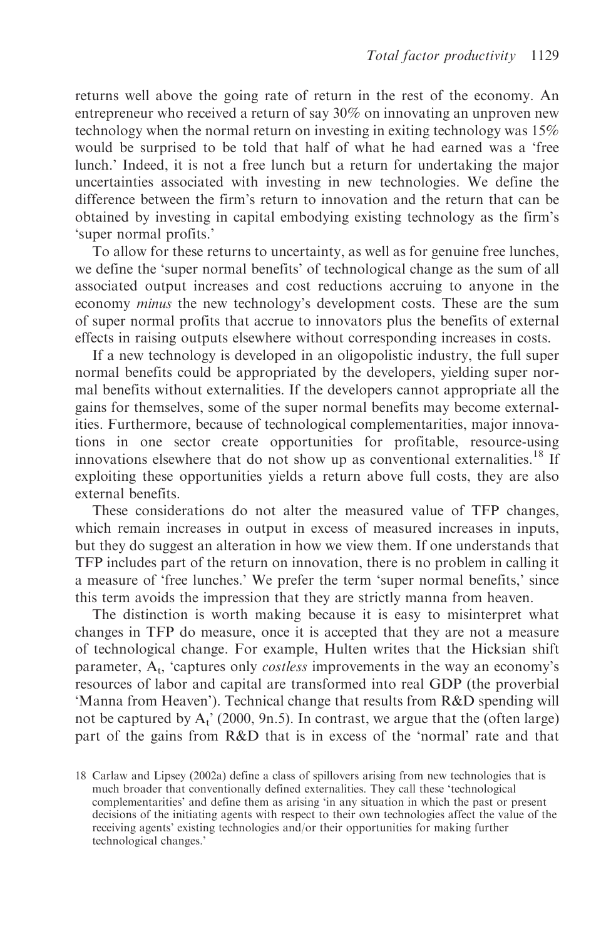returns well above the going rate of return in the rest of the economy. An entrepreneur who received a return of say 30% on innovating an unproven new technology when the normal return on investing in exiting technology was 15% would be surprised to be told that half of what he had earned was a 'free lunch.' Indeed, it is not a free lunch but a return for undertaking the major uncertainties associated with investing in new technologies. We define the difference between the firm's return to innovation and the return that can be obtained by investing in capital embodying existing technology as the firm's 'super normal profits.'

To allow for these returns to uncertainty, as well as for genuine free lunches, we define the 'super normal benefits' of technological change as the sum of all associated output increases and cost reductions accruing to anyone in the economy *minus* the new technology's development costs. These are the sum of super normal profits that accrue to innovators plus the benefits of external effects in raising outputs elsewhere without corresponding increases in costs.

If a new technology is developed in an oligopolistic industry, the full super normal benefits could be appropriated by the developers, yielding super normal benefits without externalities. If the developers cannot appropriate all the gains for themselves, some of the super normal benefits may become externalities. Furthermore, because of technological complementarities, major innovations in one sector create opportunities for profitable, resource-using innovations elsewhere that do not show up as conventional externalities.<sup>18</sup> If exploiting these opportunities yields a return above full costs, they are also external benefits.

These considerations do not alter the measured value of TFP changes, which remain increases in output in excess of measured increases in inputs, but they do suggest an alteration in how we view them. If one understands that TFP includes part of the return on innovation, there is no problem in calling it a measure of 'free lunches.' We prefer the term 'super normal benefits,' since this term avoids the impression that they are strictly manna from heaven.

The distinction is worth making because it is easy to misinterpret what changes in TFP do measure, once it is accepted that they are not a measure of technological change. For example, Hulten writes that the Hicksian shift parameter,  $A_t$ , 'captures only *costless* improvements in the way an economy's resources of labor and capital are transformed into real GDP (the proverbial 'Manna from Heaven'). Technical change that results from R&D spending will not be captured by  $A_t'$  (2000, 9n.5). In contrast, we argue that the (often large) part of the gains from R&D that is in excess of the 'normal' rate and that

<sup>18</sup> Carlaw and Lipsey (2002a) define a class of spillovers arising from new technologies that is much broader that conventionally defined externalities. They call these 'technological complementarities' and define them as arising 'in any situation in which the past or present decisions of the initiating agents with respect to their own technologies affect the value of the receiving agents' existing technologies and/or their opportunities for making further technological changes.'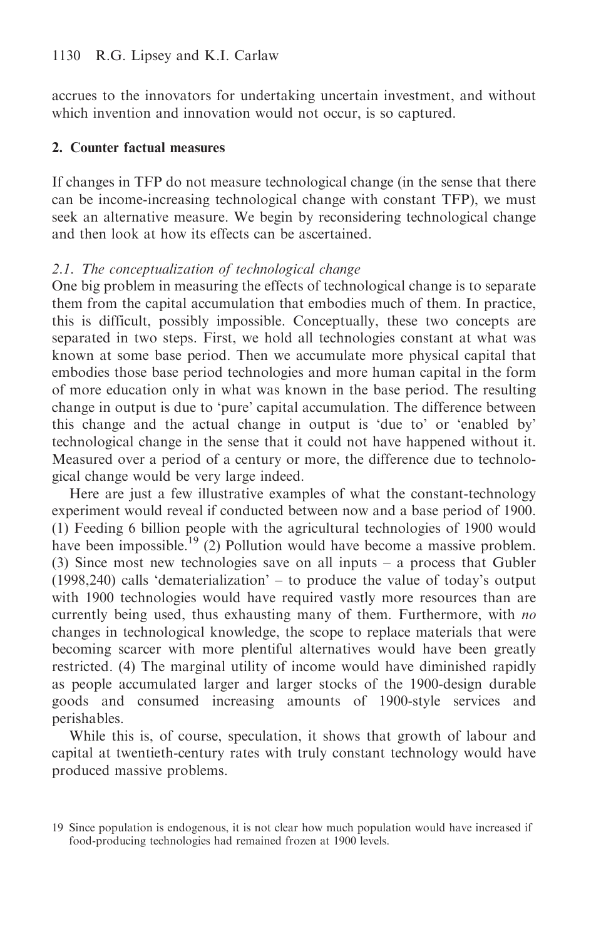## 1130 R.G. Lipsey and K.I. Carlaw

accrues to the innovators for undertaking uncertain investment, and without which invention and innovation would not occur, is so captured.

## 2. Counter factual measures

If changes in TFP do not measure technological change (in the sense that there can be income-increasing technological change with constant TFP), we must seek an alternative measure. We begin by reconsidering technological change and then look at how its effects can be ascertained.

## 2.1. The conceptualization of technological change

One big problem in measuring the effects of technological change is to separate them from the capital accumulation that embodies much of them. In practice, this is difficult, possibly impossible. Conceptually, these two concepts are separated in two steps. First, we hold all technologies constant at what was known at some base period. Then we accumulate more physical capital that embodies those base period technologies and more human capital in the form of more education only in what was known in the base period. The resulting change in output is due to 'pure' capital accumulation. The difference between this change and the actual change in output is 'due to' or 'enabled by' technological change in the sense that it could not have happened without it. Measured over a period of a century or more, the difference due to technological change would be very large indeed.

Here are just a few illustrative examples of what the constant-technology experiment would reveal if conducted between now and a base period of 1900. (1) Feeding 6 billion people with the agricultural technologies of 1900 would have been impossible.<sup>19</sup> (2) Pollution would have become a massive problem. (3) Since most new technologies save on all inputs – a process that Gubler (1998,240) calls 'dematerialization' – to produce the value of today's output with 1900 technologies would have required vastly more resources than are currently being used, thus exhausting many of them. Furthermore, with no changes in technological knowledge, the scope to replace materials that were becoming scarcer with more plentiful alternatives would have been greatly restricted. (4) The marginal utility of income would have diminished rapidly as people accumulated larger and larger stocks of the 1900-design durable goods and consumed increasing amounts of 1900-style services and perishables.

While this is, of course, speculation, it shows that growth of labour and capital at twentieth-century rates with truly constant technology would have produced massive problems.

<sup>19</sup> Since population is endogenous, it is not clear how much population would have increased if food-producing technologies had remained frozen at 1900 levels.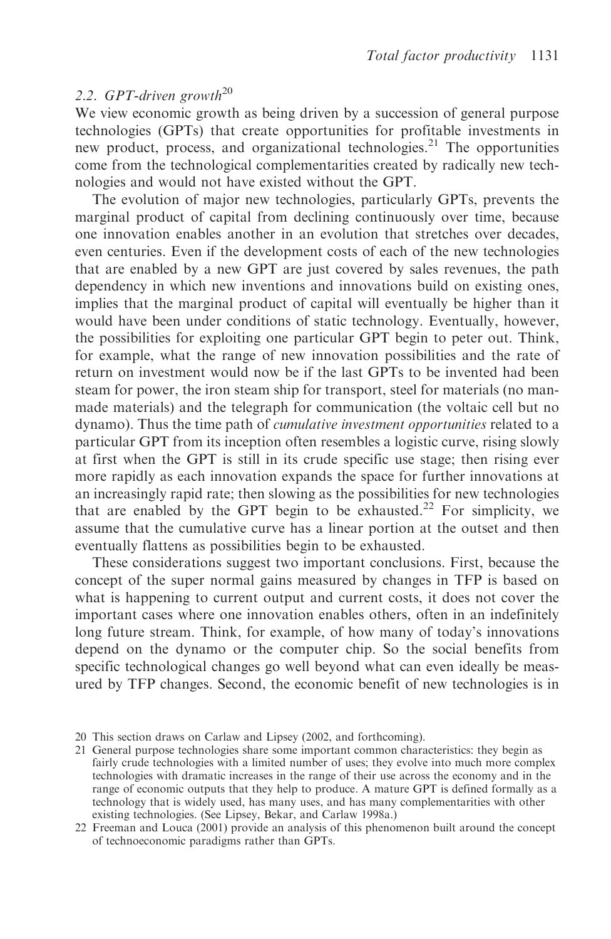# 2.2. GPT-driven growth<sup>20</sup>

We view economic growth as being driven by a succession of general purpose technologies (GPTs) that create opportunities for profitable investments in new product, process, and organizational technologies.<sup>21</sup> The opportunities come from the technological complementarities created by radically new technologies and would not have existed without the GPT.

The evolution of major new technologies, particularly GPTs, prevents the marginal product of capital from declining continuously over time, because one innovation enables another in an evolution that stretches over decades, even centuries. Even if the development costs of each of the new technologies that are enabled by a new GPT are just covered by sales revenues, the path dependency in which new inventions and innovations build on existing ones, implies that the marginal product of capital will eventually be higher than it would have been under conditions of static technology. Eventually, however, the possibilities for exploiting one particular GPT begin to peter out. Think, for example, what the range of new innovation possibilities and the rate of return on investment would now be if the last GPTs to be invented had been steam for power, the iron steam ship for transport, steel for materials (no manmade materials) and the telegraph for communication (the voltaic cell but no dynamo). Thus the time path of cumulative investment opportunities related to a particular GPT from its inception often resembles a logistic curve, rising slowly at first when the GPT is still in its crude specific use stage; then rising ever more rapidly as each innovation expands the space for further innovations at an increasingly rapid rate; then slowing as the possibilities for new technologies that are enabled by the GPT begin to be exhausted.<sup>22</sup> For simplicity, we assume that the cumulative curve has a linear portion at the outset and then eventually flattens as possibilities begin to be exhausted.

These considerations suggest two important conclusions. First, because the concept of the super normal gains measured by changes in TFP is based on what is happening to current output and current costs, it does not cover the important cases where one innovation enables others, often in an indefinitely long future stream. Think, for example, of how many of today's innovations depend on the dynamo or the computer chip. So the social benefits from specific technological changes go well beyond what can even ideally be measured by TFP changes. Second, the economic benefit of new technologies is in

<sup>20</sup> This section draws on Carlaw and Lipsey (2002, and forthcoming).

<sup>21</sup> General purpose technologies share some important common characteristics: they begin as fairly crude technologies with a limited number of uses; they evolve into much more complex technologies with dramatic increases in the range of their use across the economy and in the range of economic outputs that they help to produce. A mature GPT is defined formally as a technology that is widely used, has many uses, and has many complementarities with other existing technologies. (See Lipsey, Bekar, and Carlaw 1998a.)

<sup>22</sup> Freeman and Louca (2001) provide an analysis of this phenomenon built around the concept of technoeconomic paradigms rather than GPTs.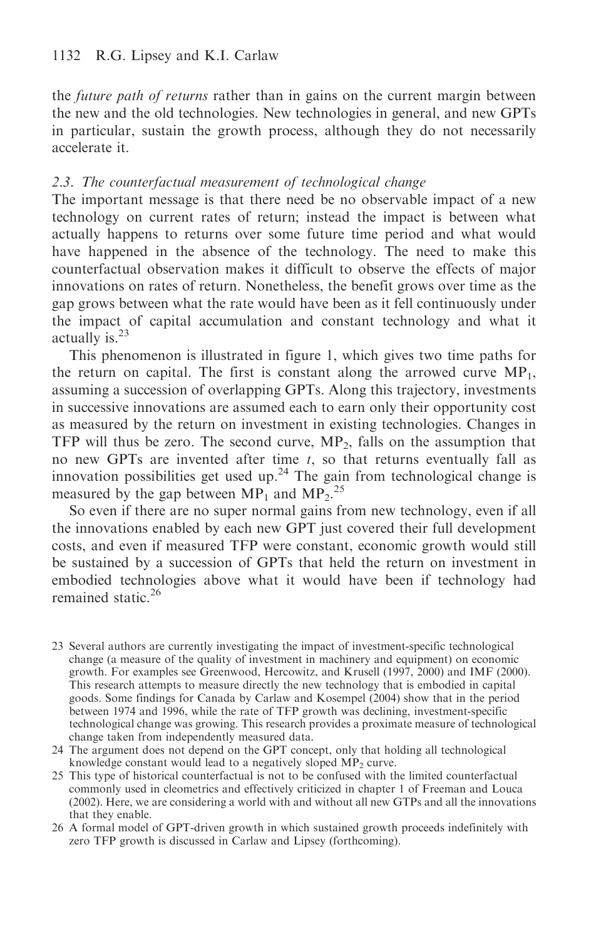# 1132 R.G. Lipsey and K.I. Carlaw

the future path of returns rather than in gains on the current margin between the new and the old technologies. New technologies in general, and new GPTs in particular, sustain the growth process, although they do not necessarily accelerate it.

## 2.3. The counterfactual measurement of technological change

The important message is that there need be no observable impact of a new technology on current rates of return; instead the impact is between what actually happens to returns over some future time period and what would have happened in the absence of the technology. The need to make this counterfactual observation makes it difficult to observe the effects of major innovations on rates of return. Nonetheless, the benefit grows over time as the gap grows between what the rate would have been as it fell continuously under the impact of capital accumulation and constant technology and what it actually is.<sup>23</sup>

This phenomenon is illustrated in figure 1, which gives two time paths for the return on capital. The first is constant along the arrowed curve  $MP_1$ , assuming a succession of overlapping GPTs. Along this trajectory, investments in successive innovations are assumed each to earn only their opportunity cost as measured by the return on investment in existing technologies. Changes in TFP will thus be zero. The second curve,  $MP_2$ , falls on the assumption that no new GPTs are invented after time  $t$ , so that returns eventually fall as innovation possibilities get used up.<sup>24</sup> The gain from technological change is measured by the gap between  $MP_1$  and  $MP_2$ .<sup>25</sup>

So even if there are no super normal gains from new technology, even if all the innovations enabled by each new GPT just covered their full development costs, and even if measured TFP were constant, economic growth would still be sustained by a succession of GPTs that held the return on investment in embodied technologies above what it would have been if technology had remained static.<sup>26</sup>

- 23 Several authors are currently investigating the impact of investment-specific technological change (a measure of the quality of investment in machinery and equipment) on economic growth. For examples see Greenwood, Hercowitz, and Krusell (1997, 2000) and IMF (2000). This research attempts to measure directly the new technology that is embodied in capital goods. Some findings for Canada by Carlaw and Kosempel (2004) show that in the period between 1974 and 1996, while the rate of TFP growth was declining, investment-specific technological change was growing. This research provides a proximate measure of technological change taken from independently measured data.
- 24 The argument does not depend on the GPT concept, only that holding all technological knowledge constant would lead to a negatively sloped  $MP<sub>2</sub>$  curve.
- 25 This type of historical counterfactual is not to be confused with the limited counterfactual commonly used in cleometrics and effectively criticized in chapter 1 of Freeman and Louca (2002). Here, we are considering a world with and without all new GTPs and all the innovations that they enable.
- 26 A formal model of GPT-driven growth in which sustained growth proceeds indefinitely with zero TFP growth is discussed in Carlaw and Lipsey (forthcoming).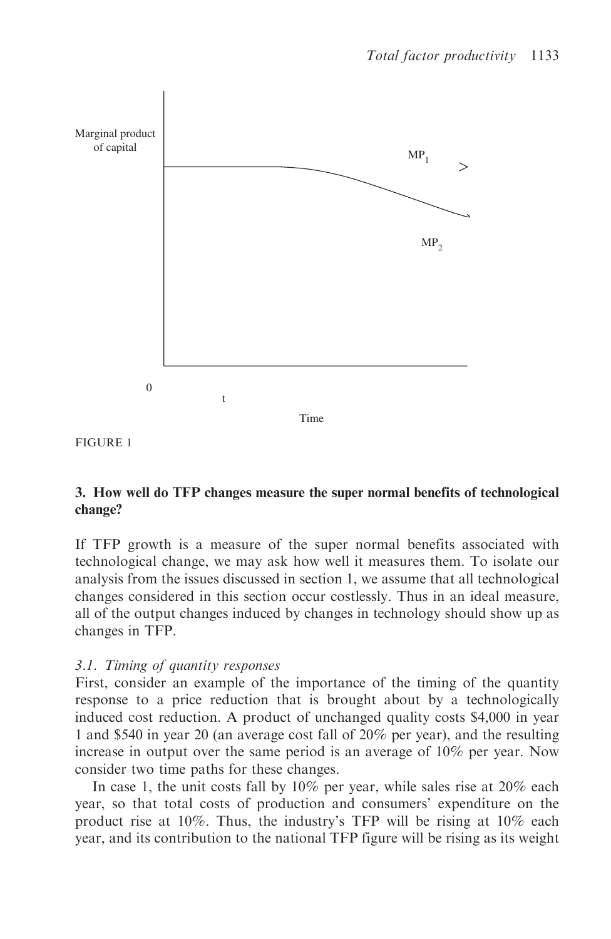

FIGURE 1

# 3. How well do TFP changes measure the super normal benefits of technological change?

If TFP growth is a measure of the super normal benefits associated with technological change, we may ask how well it measures them. To isolate our analysis from the issues discussed in section 1, we assume that all technological changes considered in this section occur costlessly. Thus in an ideal measure, all of the output changes induced by changes in technology should show up as changes in TFP.

## 3.1. Timing of quantity responses

First, consider an example of the importance of the timing of the quantity response to a price reduction that is brought about by a technologically induced cost reduction. A product of unchanged quality costs \$4,000 in year 1 and \$540 in year 20 (an average cost fall of 20% per year), and the resulting increase in output over the same period is an average of 10% per year. Now consider two time paths for these changes.

In case 1, the unit costs fall by 10% per year, while sales rise at 20% each year, so that total costs of production and consumers' expenditure on the product rise at 10%. Thus, the industry's TFP will be rising at 10% each year, and its contribution to the national TFP figure will be rising as its weight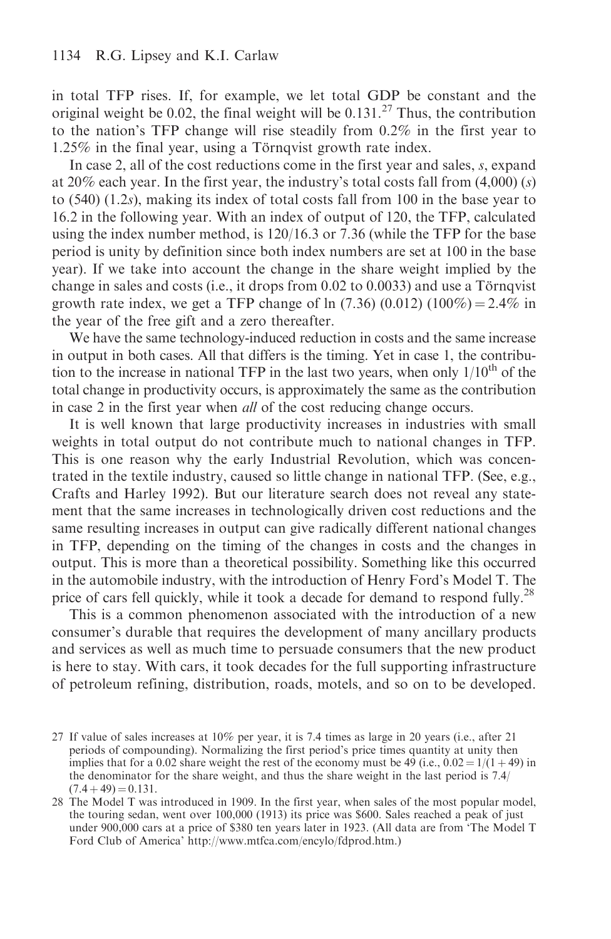in total TFP rises. If, for example, we let total GDP be constant and the original weight be 0.02, the final weight will be  $0.131<sup>27</sup>$  Thus, the contribution to the nation's TFP change will rise steadily from 0.2% in the first year to  $1.25\%$  in the final year, using a Törnqvist growth rate index.

In case 2, all of the cost reductions come in the first year and sales, s, expand at 20% each year. In the first year, the industry's total costs fall from  $(4,000)$  (s) to (540) (1.2s), making its index of total costs fall from 100 in the base year to 16.2 in the following year. With an index of output of 120, the TFP, calculated using the index number method, is 120/16.3 or 7.36 (while the TFP for the base period is unity by definition since both index numbers are set at 100 in the base year). If we take into account the change in the share weight implied by the change in sales and costs (i.e., it drops from  $0.02$  to  $0.0033$ ) and use a Törnqvist growth rate index, we get a TFP change of  $\ln (7.36) (0.012) (100\%) = 2.4\%$  in the year of the free gift and a zero thereafter.

We have the same technology-induced reduction in costs and the same increase in output in both cases. All that differs is the timing. Yet in case 1, the contribution to the increase in national TFP in the last two years, when only  $1/10^{th}$  of the total change in productivity occurs, is approximately the same as the contribution in case 2 in the first year when all of the cost reducing change occurs.

It is well known that large productivity increases in industries with small weights in total output do not contribute much to national changes in TFP. This is one reason why the early Industrial Revolution, which was concentrated in the textile industry, caused so little change in national TFP. (See, e.g., Crafts and Harley 1992). But our literature search does not reveal any statement that the same increases in technologically driven cost reductions and the same resulting increases in output can give radically different national changes in TFP, depending on the timing of the changes in costs and the changes in output. This is more than a theoretical possibility. Something like this occurred in the automobile industry, with the introduction of Henry Ford's Model T. The price of cars fell quickly, while it took a decade for demand to respond fully.<sup>28</sup>

This is a common phenomenon associated with the introduction of a new consumer's durable that requires the development of many ancillary products and services as well as much time to persuade consumers that the new product is here to stay. With cars, it took decades for the full supporting infrastructure of petroleum refining, distribution, roads, motels, and so on to be developed.

<sup>27</sup> If value of sales increases at 10% per year, it is 7.4 times as large in 20 years (i.e., after 21 periods of compounding). Normalizing the first period's price times quantity at unity then implies that for a 0.02 share weight the rest of the economy must be 49 (i.e.,  $0.02 = 1/(1 + 49)$  in the denominator for the share weight, and thus the share weight in the last period is 7.4/  $(7.4 + 49) = 0.131.$ 

<sup>28</sup> The Model T was introduced in 1909. In the first year, when sales of the most popular model, the touring sedan, went over 100,000 (1913) its price was \$600. Sales reached a peak of just under 900,000 cars at a price of \$380 ten years later in 1923. (All data are from 'The Model T Ford Club of America' http://www.mtfca.com/encylo/fdprod.htm.)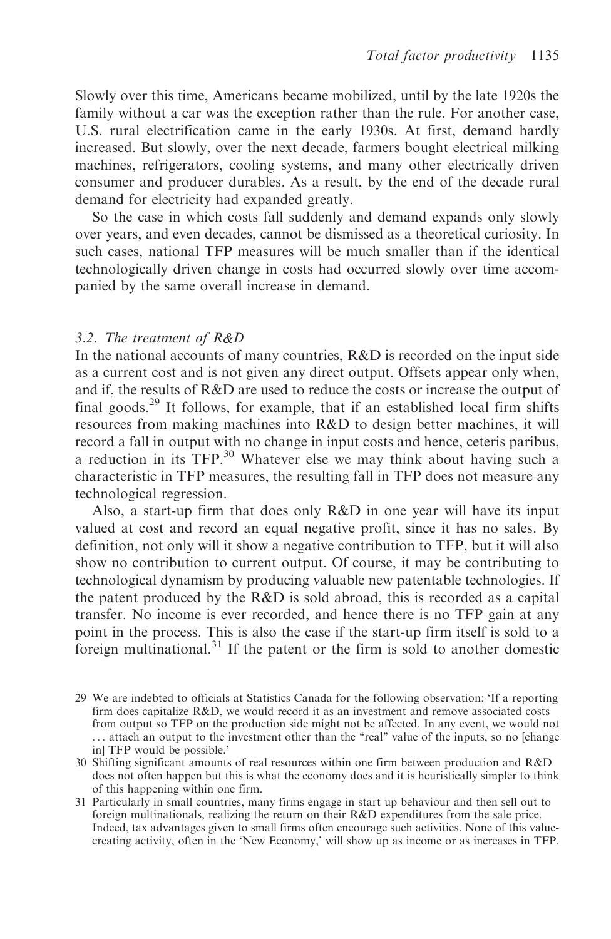Slowly over this time, Americans became mobilized, until by the late 1920s the family without a car was the exception rather than the rule. For another case, U.S. rural electrification came in the early 1930s. At first, demand hardly increased. But slowly, over the next decade, farmers bought electrical milking machines, refrigerators, cooling systems, and many other electrically driven consumer and producer durables. As a result, by the end of the decade rural demand for electricity had expanded greatly.

So the case in which costs fall suddenly and demand expands only slowly over years, and even decades, cannot be dismissed as a theoretical curiosity. In such cases, national TFP measures will be much smaller than if the identical technologically driven change in costs had occurred slowly over time accompanied by the same overall increase in demand.

## 3.2. The treatment of R&D

In the national accounts of many countries, R&D is recorded on the input side as a current cost and is not given any direct output. Offsets appear only when, and if, the results of R&D are used to reduce the costs or increase the output of final goods.<sup>29</sup> It follows, for example, that if an established local firm shifts resources from making machines into R&D to design better machines, it will record a fall in output with no change in input costs and hence, ceteris paribus, a reduction in its TFP.<sup>30</sup> Whatever else we may think about having such a characteristic in TFP measures, the resulting fall in TFP does not measure any technological regression.

Also, a start-up firm that does only R&D in one year will have its input valued at cost and record an equal negative profit, since it has no sales. By definition, not only will it show a negative contribution to TFP, but it will also show no contribution to current output. Of course, it may be contributing to technological dynamism by producing valuable new patentable technologies. If the patent produced by the R&D is sold abroad, this is recorded as a capital transfer. No income is ever recorded, and hence there is no TFP gain at any point in the process. This is also the case if the start-up firm itself is sold to a foreign multinational.<sup>31</sup> If the patent or the firm is sold to another domestic

31 Particularly in small countries, many firms engage in start up behaviour and then sell out to foreign multinationals, realizing the return on their R&D expenditures from the sale price. Indeed, tax advantages given to small firms often encourage such activities. None of this valuecreating activity, often in the 'New Economy,' will show up as income or as increases in TFP.

<sup>29</sup> We are indebted to officials at Statistics Canada for the following observation: 'If a reporting firm does capitalize R&D, we would record it as an investment and remove associated costs from output so TFP on the production side might not be affected. In any event, we would not ... attach an output to the investment other than the ''real'' value of the inputs, so no [change in] TFP would be possible.'

<sup>30</sup> Shifting significant amounts of real resources within one firm between production and R&D does not often happen but this is what the economy does and it is heuristically simpler to think of this happening within one firm.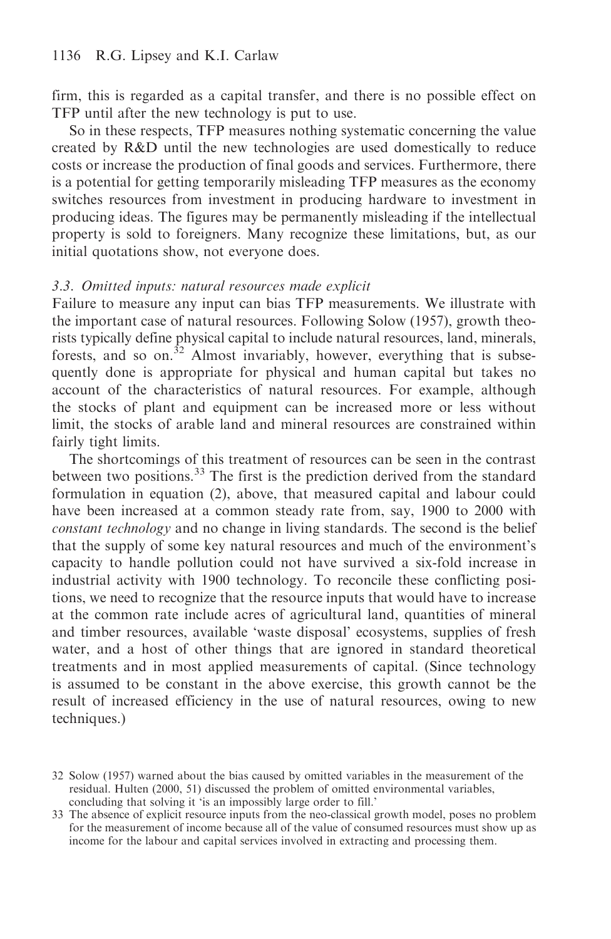firm, this is regarded as a capital transfer, and there is no possible effect on TFP until after the new technology is put to use.

So in these respects, TFP measures nothing systematic concerning the value created by R&D until the new technologies are used domestically to reduce costs or increase the production of final goods and services. Furthermore, there is a potential for getting temporarily misleading TFP measures as the economy switches resources from investment in producing hardware to investment in producing ideas. The figures may be permanently misleading if the intellectual property is sold to foreigners. Many recognize these limitations, but, as our initial quotations show, not everyone does.

#### 3.3. Omitted inputs: natural resources made explicit

Failure to measure any input can bias TFP measurements. We illustrate with the important case of natural resources. Following Solow (1957), growth theorists typically define physical capital to include natural resources, land, minerals, forests, and so on.<sup>32</sup> Almost invariably, however, everything that is subsequently done is appropriate for physical and human capital but takes no account of the characteristics of natural resources. For example, although the stocks of plant and equipment can be increased more or less without limit, the stocks of arable land and mineral resources are constrained within fairly tight limits.

The shortcomings of this treatment of resources can be seen in the contrast between two positions.<sup>33</sup> The first is the prediction derived from the standard formulation in equation (2), above, that measured capital and labour could have been increased at a common steady rate from, say, 1900 to 2000 with constant technology and no change in living standards. The second is the belief that the supply of some key natural resources and much of the environment's capacity to handle pollution could not have survived a six-fold increase in industrial activity with 1900 technology. To reconcile these conflicting positions, we need to recognize that the resource inputs that would have to increase at the common rate include acres of agricultural land, quantities of mineral and timber resources, available 'waste disposal' ecosystems, supplies of fresh water, and a host of other things that are ignored in standard theoretical treatments and in most applied measurements of capital. (Since technology is assumed to be constant in the above exercise, this growth cannot be the result of increased efficiency in the use of natural resources, owing to new techniques.)

<sup>32</sup> Solow (1957) warned about the bias caused by omitted variables in the measurement of the residual. Hulten (2000, 51) discussed the problem of omitted environmental variables, concluding that solving it 'is an impossibly large order to fill.'

<sup>33</sup> The absence of explicit resource inputs from the neo-classical growth model, poses no problem for the measurement of income because all of the value of consumed resources must show up as income for the labour and capital services involved in extracting and processing them.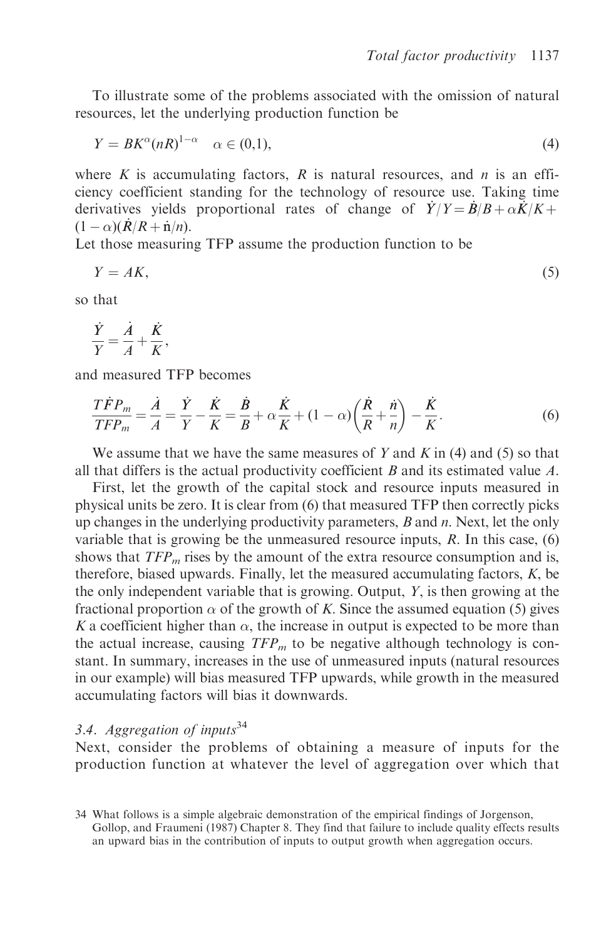To illustrate some of the problems associated with the omission of natural resources, let the underlying production function be

$$
Y = BK^{\alpha}(nR)^{1-\alpha} \quad \alpha \in (0,1), \tag{4}
$$

where K is accumulating factors, R is natural resources, and n is an efficiency coefficient standing for the technology of resource use. Taking time derivatives yields proportional rates of change of  $\dot{Y}/Y = \dot{B}/B + \alpha \dot{K}/K +$  $(1 - \alpha)(\dot{R}/R + \dot{n}/n).$ 

Let those measuring TFP assume the production function to be

$$
Y = AK,\tag{5}
$$

so that

$$
\frac{\dot{Y}}{Y} = \frac{\dot{A}}{A} + \frac{\dot{K}}{K},
$$

and measured TFP becomes

$$
\frac{T\dot{F}P_m}{TFP_m} = \frac{\dot{A}}{A} = \frac{\dot{Y}}{Y} - \frac{\dot{K}}{K} = \frac{\dot{B}}{B} + \alpha \frac{\dot{K}}{K} + (1 - \alpha) \left(\frac{\dot{R}}{R} + \frac{\dot{n}}{n}\right) - \frac{\dot{K}}{K}.
$$
(6)

We assume that we have the same measures of Y and K in (4) and (5) so that all that differs is the actual productivity coefficient  $B$  and its estimated value  $A$ .

First, let the growth of the capital stock and resource inputs measured in physical units be zero. It is clear from (6) that measured TFP then correctly picks up changes in the underlying productivity parameters,  $B$  and  $n$ . Next, let the only variable that is growing be the unmeasured resource inputs,  $R$ . In this case,  $(6)$ shows that  $TFP_m$  rises by the amount of the extra resource consumption and is, therefore, biased upwards. Finally, let the measured accumulating factors,  $K$ , be the only independent variable that is growing. Output, Y, is then growing at the fractional proportion  $\alpha$  of the growth of K. Since the assumed equation (5) gives K a coefficient higher than  $\alpha$ , the increase in output is expected to be more than the actual increase, causing  $TFP_m$  to be negative although technology is constant. In summary, increases in the use of unmeasured inputs (natural resources in our example) will bias measured TFP upwards, while growth in the measured accumulating factors will bias it downwards.

# 3.4. Aggregation of inputs  $34$

Next, consider the problems of obtaining a measure of inputs for the production function at whatever the level of aggregation over which that

<sup>34</sup> What follows is a simple algebraic demonstration of the empirical findings of Jorgenson, Gollop, and Fraumeni (1987) Chapter 8. They find that failure to include quality effects results an upward bias in the contribution of inputs to output growth when aggregation occurs.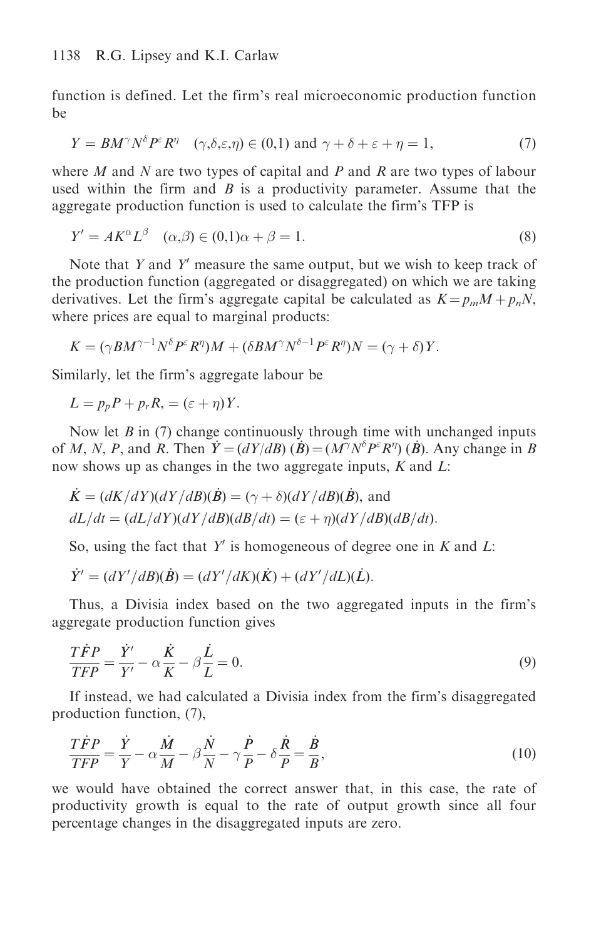function is defined. Let the firm's real microeconomic production function be

$$
Y = BM^{\gamma} N^{\delta} P^{\varepsilon} R^{\eta} \quad (\gamma, \delta, \varepsilon, \eta) \in (0, 1) \text{ and } \gamma + \delta + \varepsilon + \eta = 1,
$$
 (7)

where M and N are two types of capital and P and R are two types of labour used within the firm and  $B$  is a productivity parameter. Assume that the aggregate production function is used to calculate the firm's TFP is

$$
Y' = AK^{\alpha}L^{\beta} \quad (\alpha,\beta) \in (0,1)\alpha + \beta = 1. \tag{8}
$$

Note that Y and Y' measure the same output, but we wish to keep track of the production function (aggregated or disaggregated) on which we are taking derivatives. Let the firm's aggregate capital be calculated as  $K = p_m M + p_n N$ , where prices are equal to marginal products:

$$
K = (\gamma BM^{\gamma - 1} N^{\delta} P^{\varepsilon} R^{\eta})M + (\delta BM^{\gamma} N^{\delta - 1} P^{\varepsilon} R^{\eta})N = (\gamma + \delta) Y.
$$

Similarly, let the firm's aggregate labour be

$$
L = p_p P + p_r R, = (\varepsilon + \eta) Y.
$$

Now let  $B$  in (7) change continuously through time with unchanged inputs of M, N, P, and R. Then  $\dot{Y} = (dY/dB) (\dot{B}) = (M^{\gamma} N^{\delta} P^{\epsilon} R^{\gamma})$  ( $\dot{B}$ ). Any change in B now shows up as changes in the two aggregate inputs,  $K$  and  $L$ :

$$
\dot{\mathbf{K}} = (dK/dY)(dY/dB)(\dot{B}) = (\gamma + \delta)(dY/dB)(\dot{B}), \text{ and}
$$
  

$$
dL/dt = (dL/dY)(dY/dB)(dB/dt) = (\varepsilon + \eta)(dY/dB)(dB/dt).
$$

So, using the fact that  $Y'$  is homogeneous of degree one in K and L:

$$
\dot{Y}' = (dY'/dB)(\dot{B}) = (dY'/dK)(\dot{K}) + (dY'/dL)(\dot{L}).
$$

Thus, a Divisia index based on the two aggregated inputs in the firm's aggregate production function gives

$$
\frac{\overline{T}\dot{F}P}{\overline{T}\overline{F}P} = \frac{\dot{Y}'}{Y'} - \alpha \frac{\dot{K}}{K} - \beta \frac{\dot{L}}{L} = 0.
$$
\n(9)

If instead, we had calculated a Divisia index from the firm's disaggregated production function, (7),

$$
\frac{\overline{T}\dot{F}P}{\overline{T}F} = \frac{\dot{Y}}{Y} - \alpha \frac{\dot{M}}{M} - \beta \frac{\dot{N}}{N} - \gamma \frac{\dot{P}}{P} - \delta \frac{\dot{R}}{P} = \frac{\dot{B}}{B},\tag{10}
$$

we would have obtained the correct answer that, in this case, the rate of productivity growth is equal to the rate of output growth since all four percentage changes in the disaggregated inputs are zero.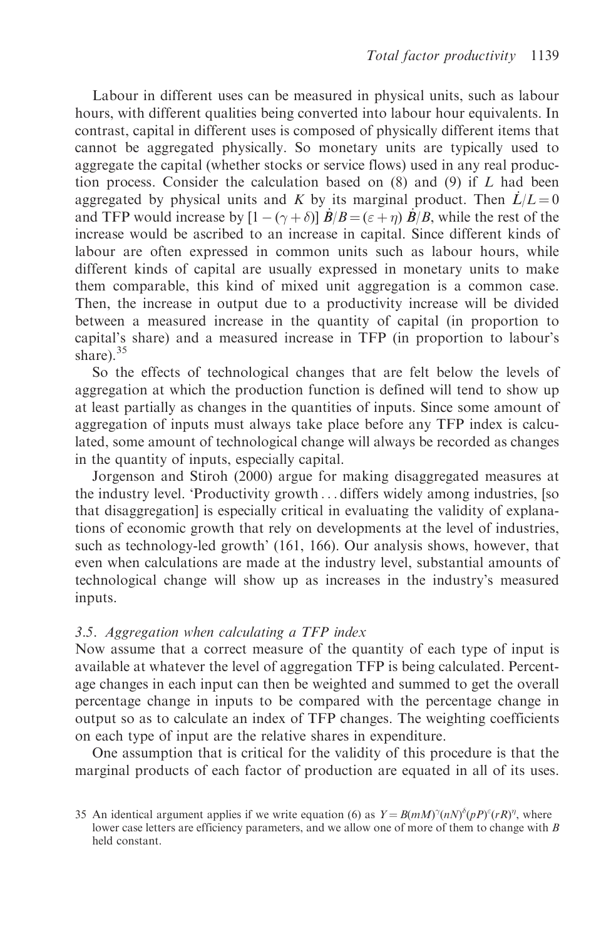Labour in different uses can be measured in physical units, such as labour hours, with different qualities being converted into labour hour equivalents. In contrast, capital in different uses is composed of physically different items that cannot be aggregated physically. So monetary units are typically used to aggregate the capital (whether stocks or service flows) used in any real production process. Consider the calculation based on  $(8)$  and  $(9)$  if  $L$  had been aggregated by physical units and K by its marginal product. Then  $\dot{L}/L = 0$ and TFP would increase by  $[1 - (\gamma + \delta)] \dot{B}/B = (\varepsilon + \eta) \dot{B}/B$ , while the rest of the increase would be ascribed to an increase in capital. Since different kinds of labour are often expressed in common units such as labour hours, while different kinds of capital are usually expressed in monetary units to make them comparable, this kind of mixed unit aggregation is a common case. Then, the increase in output due to a productivity increase will be divided between a measured increase in the quantity of capital (in proportion to capital's share) and a measured increase in TFP (in proportion to labour's share).<sup>35</sup>

So the effects of technological changes that are felt below the levels of aggregation at which the production function is defined will tend to show up at least partially as changes in the quantities of inputs. Since some amount of aggregation of inputs must always take place before any TFP index is calculated, some amount of technological change will always be recorded as changes in the quantity of inputs, especially capital.

Jorgenson and Stiroh (2000) argue for making disaggregated measures at the industry level. 'Productivity growth ... differs widely among industries, [so that disaggregation] is especially critical in evaluating the validity of explanations of economic growth that rely on developments at the level of industries, such as technology-led growth' (161, 166). Our analysis shows, however, that even when calculations are made at the industry level, substantial amounts of technological change will show up as increases in the industry's measured inputs.

## 3.5. Aggregation when calculating a TFP index

Now assume that a correct measure of the quantity of each type of input is available at whatever the level of aggregation TFP is being calculated. Percentage changes in each input can then be weighted and summed to get the overall percentage change in inputs to be compared with the percentage change in output so as to calculate an index of TFP changes. The weighting coefficients on each type of input are the relative shares in expenditure.

One assumption that is critical for the validity of this procedure is that the marginal products of each factor of production are equated in all of its uses.

<sup>35</sup> An identical argument applies if we write equation (6) as  $Y = B(mM)^{\gamma}(n)^{\delta}(pP)^{\epsilon}(rR)^{\eta}$ , where lower case letters are efficiency parameters, and we allow one of more of them to change with B held constant.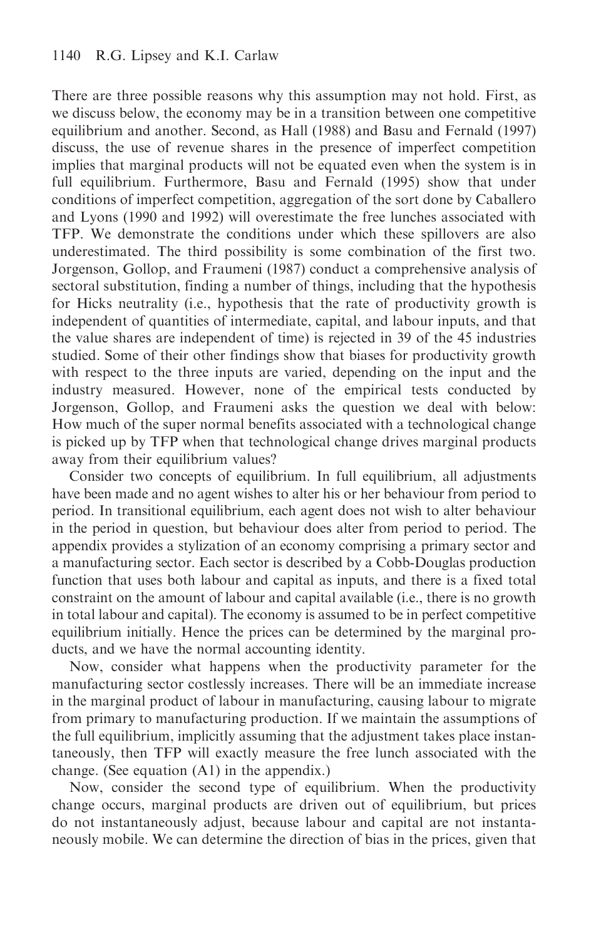There are three possible reasons why this assumption may not hold. First, as we discuss below, the economy may be in a transition between one competitive equilibrium and another. Second, as Hall (1988) and Basu and Fernald (1997) discuss, the use of revenue shares in the presence of imperfect competition implies that marginal products will not be equated even when the system is in full equilibrium. Furthermore, Basu and Fernald (1995) show that under conditions of imperfect competition, aggregation of the sort done by Caballero and Lyons (1990 and 1992) will overestimate the free lunches associated with TFP. We demonstrate the conditions under which these spillovers are also underestimated. The third possibility is some combination of the first two. Jorgenson, Gollop, and Fraumeni (1987) conduct a comprehensive analysis of sectoral substitution, finding a number of things, including that the hypothesis for Hicks neutrality (i.e., hypothesis that the rate of productivity growth is independent of quantities of intermediate, capital, and labour inputs, and that the value shares are independent of time) is rejected in 39 of the 45 industries studied. Some of their other findings show that biases for productivity growth with respect to the three inputs are varied, depending on the input and the industry measured. However, none of the empirical tests conducted by Jorgenson, Gollop, and Fraumeni asks the question we deal with below: How much of the super normal benefits associated with a technological change is picked up by TFP when that technological change drives marginal products away from their equilibrium values?

Consider two concepts of equilibrium. In full equilibrium, all adjustments have been made and no agent wishes to alter his or her behaviour from period to period. In transitional equilibrium, each agent does not wish to alter behaviour in the period in question, but behaviour does alter from period to period. The appendix provides a stylization of an economy comprising a primary sector and a manufacturing sector. Each sector is described by a Cobb-Douglas production function that uses both labour and capital as inputs, and there is a fixed total constraint on the amount of labour and capital available (i.e., there is no growth in total labour and capital). The economy is assumed to be in perfect competitive equilibrium initially. Hence the prices can be determined by the marginal products, and we have the normal accounting identity.

Now, consider what happens when the productivity parameter for the manufacturing sector costlessly increases. There will be an immediate increase in the marginal product of labour in manufacturing, causing labour to migrate from primary to manufacturing production. If we maintain the assumptions of the full equilibrium, implicitly assuming that the adjustment takes place instantaneously, then TFP will exactly measure the free lunch associated with the change. (See equation (A1) in the appendix.)

Now, consider the second type of equilibrium. When the productivity change occurs, marginal products are driven out of equilibrium, but prices do not instantaneously adjust, because labour and capital are not instantaneously mobile. We can determine the direction of bias in the prices, given that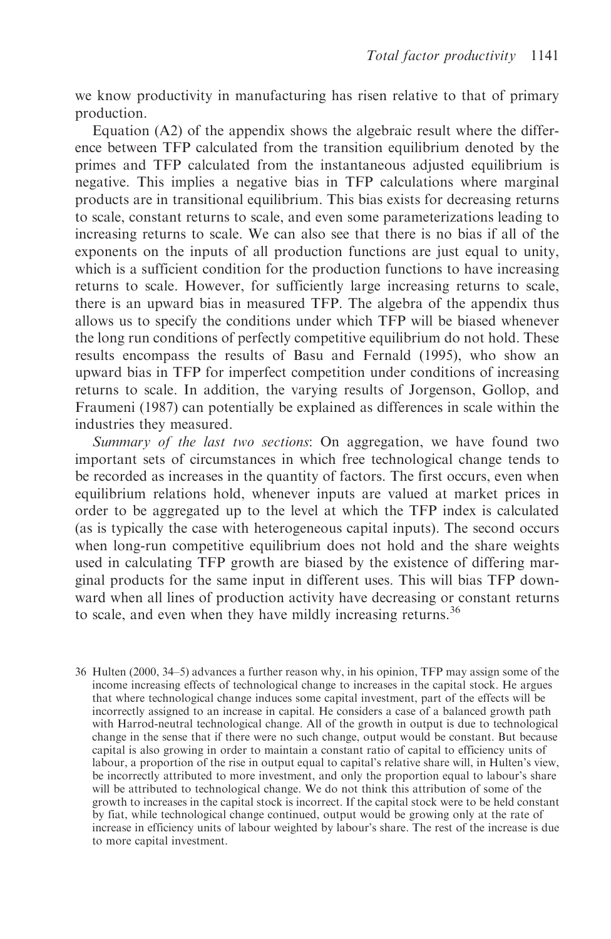we know productivity in manufacturing has risen relative to that of primary production.

Equation (A2) of the appendix shows the algebraic result where the difference between TFP calculated from the transition equilibrium denoted by the primes and TFP calculated from the instantaneous adjusted equilibrium is negative. This implies a negative bias in TFP calculations where marginal products are in transitional equilibrium. This bias exists for decreasing returns to scale, constant returns to scale, and even some parameterizations leading to increasing returns to scale. We can also see that there is no bias if all of the exponents on the inputs of all production functions are just equal to unity, which is a sufficient condition for the production functions to have increasing returns to scale. However, for sufficiently large increasing returns to scale, there is an upward bias in measured TFP. The algebra of the appendix thus allows us to specify the conditions under which TFP will be biased whenever the long run conditions of perfectly competitive equilibrium do not hold. These results encompass the results of Basu and Fernald (1995), who show an upward bias in TFP for imperfect competition under conditions of increasing returns to scale. In addition, the varying results of Jorgenson, Gollop, and Fraumeni (1987) can potentially be explained as differences in scale within the industries they measured.

Summary of the last two sections: On aggregation, we have found two important sets of circumstances in which free technological change tends to be recorded as increases in the quantity of factors. The first occurs, even when equilibrium relations hold, whenever inputs are valued at market prices in order to be aggregated up to the level at which the TFP index is calculated (as is typically the case with heterogeneous capital inputs). The second occurs when long-run competitive equilibrium does not hold and the share weights used in calculating TFP growth are biased by the existence of differing marginal products for the same input in different uses. This will bias TFP downward when all lines of production activity have decreasing or constant returns to scale, and even when they have mildly increasing returns.<sup>36</sup>

36 Hulten (2000, 34–5) advances a further reason why, in his opinion, TFP may assign some of the income increasing effects of technological change to increases in the capital stock. He argues that where technological change induces some capital investment, part of the effects will be incorrectly assigned to an increase in capital. He considers a case of a balanced growth path with Harrod-neutral technological change. All of the growth in output is due to technological change in the sense that if there were no such change, output would be constant. But because capital is also growing in order to maintain a constant ratio of capital to efficiency units of labour, a proportion of the rise in output equal to capital's relative share will, in Hulten's view, be incorrectly attributed to more investment, and only the proportion equal to labour's share will be attributed to technological change. We do not think this attribution of some of the growth to increases in the capital stock is incorrect. If the capital stock were to be held constant by fiat, while technological change continued, output would be growing only at the rate of increase in efficiency units of labour weighted by labour's share. The rest of the increase is due to more capital investment.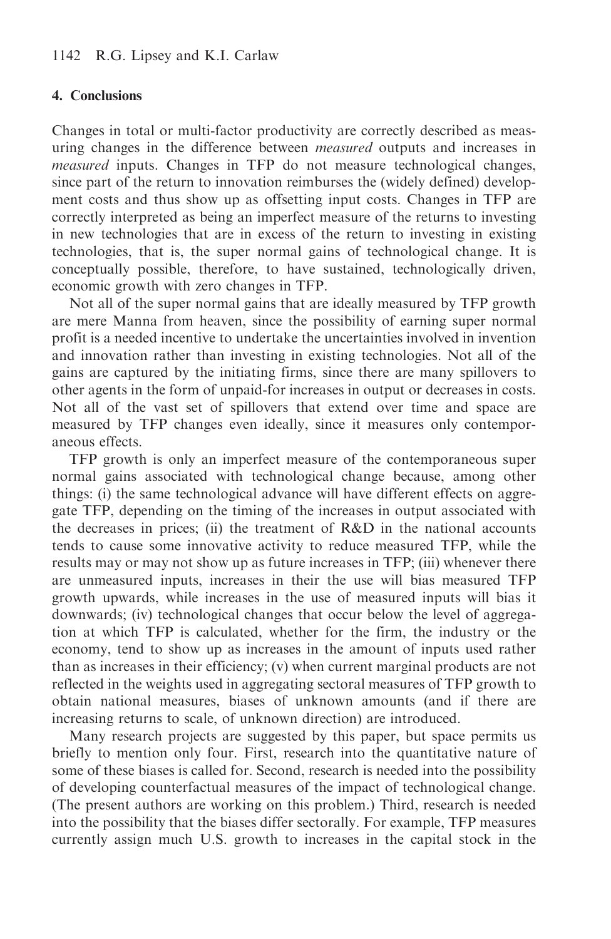## 4. Conclusions

Changes in total or multi-factor productivity are correctly described as measuring changes in the difference between measured outputs and increases in measured inputs. Changes in TFP do not measure technological changes, since part of the return to innovation reimburses the (widely defined) development costs and thus show up as offsetting input costs. Changes in TFP are correctly interpreted as being an imperfect measure of the returns to investing in new technologies that are in excess of the return to investing in existing technologies, that is, the super normal gains of technological change. It is conceptually possible, therefore, to have sustained, technologically driven, economic growth with zero changes in TFP.

Not all of the super normal gains that are ideally measured by TFP growth are mere Manna from heaven, since the possibility of earning super normal profit is a needed incentive to undertake the uncertainties involved in invention and innovation rather than investing in existing technologies. Not all of the gains are captured by the initiating firms, since there are many spillovers to other agents in the form of unpaid-for increases in output or decreases in costs. Not all of the vast set of spillovers that extend over time and space are measured by TFP changes even ideally, since it measures only contemporaneous effects.

TFP growth is only an imperfect measure of the contemporaneous super normal gains associated with technological change because, among other things: (i) the same technological advance will have different effects on aggregate TFP, depending on the timing of the increases in output associated with the decreases in prices; (ii) the treatment of  $R&D$  in the national accounts tends to cause some innovative activity to reduce measured TFP, while the results may or may not show up as future increases in TFP; (iii) whenever there are unmeasured inputs, increases in their the use will bias measured TFP growth upwards, while increases in the use of measured inputs will bias it downwards; (iv) technological changes that occur below the level of aggregation at which TFP is calculated, whether for the firm, the industry or the economy, tend to show up as increases in the amount of inputs used rather than as increases in their efficiency; (v) when current marginal products are not reflected in the weights used in aggregating sectoral measures of TFP growth to obtain national measures, biases of unknown amounts (and if there are increasing returns to scale, of unknown direction) are introduced.

Many research projects are suggested by this paper, but space permits us briefly to mention only four. First, research into the quantitative nature of some of these biases is called for. Second, research is needed into the possibility of developing counterfactual measures of the impact of technological change. (The present authors are working on this problem.) Third, research is needed into the possibility that the biases differ sectorally. For example, TFP measures currently assign much U.S. growth to increases in the capital stock in the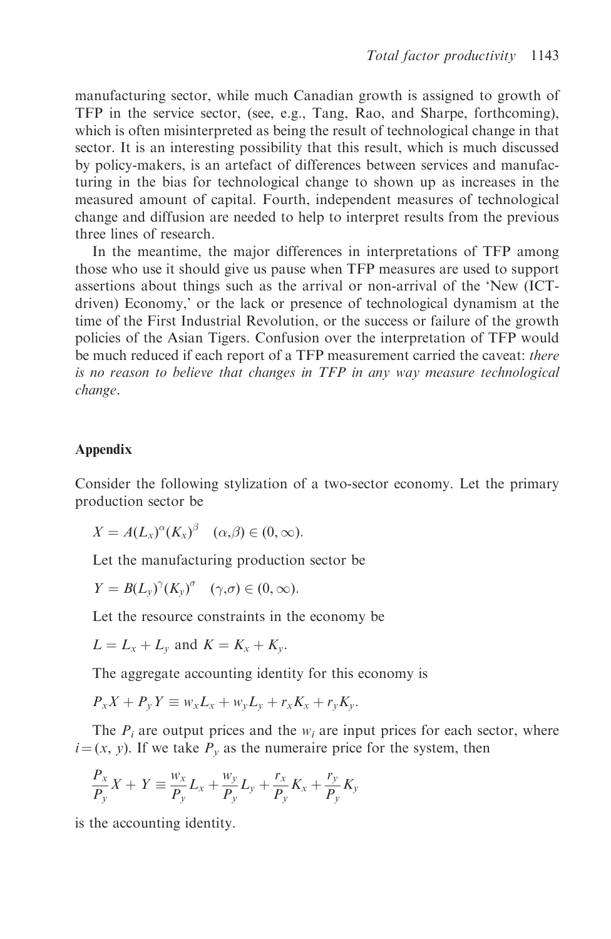manufacturing sector, while much Canadian growth is assigned to growth of TFP in the service sector, (see, e.g., Tang, Rao, and Sharpe, forthcoming), which is often misinterpreted as being the result of technological change in that sector. It is an interesting possibility that this result, which is much discussed by policy-makers, is an artefact of differences between services and manufacturing in the bias for technological change to shown up as increases in the measured amount of capital. Fourth, independent measures of technological change and diffusion are needed to help to interpret results from the previous three lines of research.

In the meantime, the major differences in interpretations of TFP among those who use it should give us pause when TFP measures are used to support assertions about things such as the arrival or non-arrival of the 'New (ICTdriven) Economy,' or the lack or presence of technological dynamism at the time of the First Industrial Revolution, or the success or failure of the growth policies of the Asian Tigers. Confusion over the interpretation of TFP would be much reduced if each report of a TFP measurement carried the caveat: *there* is no reason to believe that changes in TFP in any way measure technological change.

## Appendix

Consider the following stylization of a two-sector economy. Let the primary production sector be

$$
X = A(L_x)^{\alpha}(K_x)^{\beta} \quad (\alpha, \beta) \in (0, \infty).
$$

Let the manufacturing production sector be

$$
Y = B(L_y)^\gamma (K_y)^\sigma \quad (\gamma, \sigma) \in (0, \infty).
$$

Let the resource constraints in the economy be

 $L = L_x + L_y$  and  $K = K_x + K_y$ .

The aggregate accounting identity for this economy is

 $P_xX + P_yY \equiv w_xL_x + w_yL_y + r_xK_x + r_yK_y.$ 

The  $P_i$  are output prices and the  $w_i$  are input prices for each sector, where  $i = (x, y)$ . If we take  $P<sub>v</sub>$  as the numeraire price for the system, then

$$
\frac{P_x}{P_y}X + Y \equiv \frac{w_x}{P_y}L_x + \frac{w_y}{P_y}L_y + \frac{r_x}{P_y}K_x + \frac{r_y}{P_y}K_y
$$

is the accounting identity.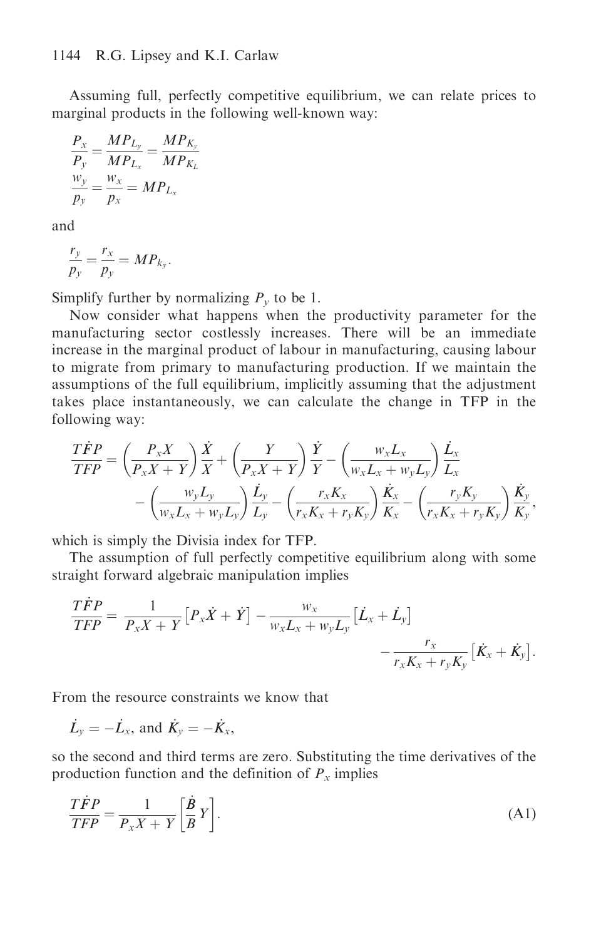Assuming full, perfectly competitive equilibrium, we can relate prices to marginal products in the following well-known way:

$$
\frac{P_x}{P_y} = \frac{MP_{L_y}}{MP_{L_x}} = \frac{MP_{K_y}}{MP_{K_L}}
$$

$$
\frac{w_y}{p_y} = \frac{w_x}{p_x} = MP_{L_x}
$$

and

$$
\frac{r_y}{p_y} = \frac{r_x}{p_y} = MP_{k_y}.
$$

Simplify further by normalizing  $P_v$  to be 1.

Now consider what happens when the productivity parameter for the manufacturing sector costlessly increases. There will be an immediate increase in the marginal product of labour in manufacturing, causing labour to migrate from primary to manufacturing production. If we maintain the assumptions of the full equilibrium, implicitly assuming that the adjustment takes place instantaneously, we can calculate the change in TFP in the following way:

$$
\frac{\overline{TFP}}{TFP} = \left(\frac{P_x X}{P_x X + Y}\right) \frac{\dot{X}}{X} + \left(\frac{Y}{P_x X + Y}\right) \frac{\dot{Y}}{Y} - \left(\frac{w_x L_x}{w_x L_x + w_y L_y}\right) \frac{\dot{L}_x}{L_x} \n- \left(\frac{w_y L_y}{w_x L_x + w_y L_y}\right) \frac{\dot{L}_y}{L_y} - \left(\frac{r_x K_x}{r_x K_x + r_y K_y}\right) \frac{\dot{K}_x}{K_x} - \left(\frac{r_y K_y}{r_x K_x + r_y K_y}\right) \frac{\dot{K}_y}{K_y},
$$

which is simply the Divisia index for TFP.

The assumption of full perfectly competitive equilibrium along with some straight forward algebraic manipulation implies

$$
\frac{\overline{TFP}}{\overline{TFP}} = \frac{1}{P_x X + Y} \left[ P_x \dot{X} + \dot{Y} \right] - \frac{w_x}{w_x L_x + w_y L_y} \left[ \dot{L}_x + \dot{L}_y \right] - \frac{r_x}{r_x K_x + r_y K_y} \left[ \dot{K}_x + \dot{K}_y \right].
$$

From the resource constraints we know that

$$
\dot{L}_y = -\dot{L}_x
$$
, and  $\dot{K}_y = -\dot{K}_x$ ,

so the second and third terms are zero. Substituting the time derivatives of the production function and the definition of  $P_x$  implies

$$
\frac{T\dot{F}P}{TFP} = \frac{1}{P_x X + Y} \left[ \frac{\dot{B}}{B} Y \right].
$$
\n(A1)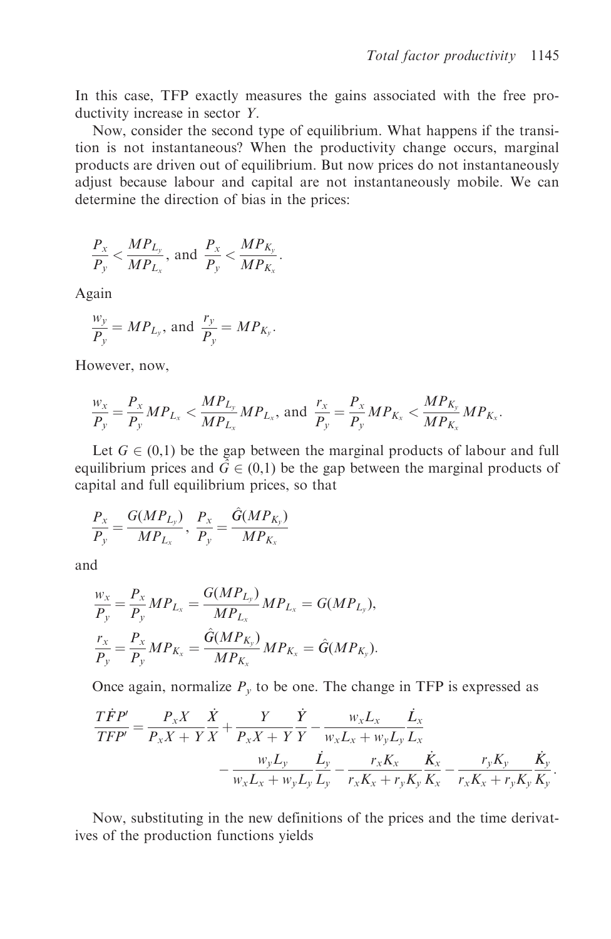In this case, TFP exactly measures the gains associated with the free productivity increase in sector Y.

Now, consider the second type of equilibrium. What happens if the transition is not instantaneous? When the productivity change occurs, marginal products are driven out of equilibrium. But now prices do not instantaneously adjust because labour and capital are not instantaneously mobile. We can determine the direction of bias in the prices:

$$
\frac{P_x}{P_y} < \frac{MP_{L_y}}{MP_{L_x}}, \text{ and } \frac{P_x}{P_y} < \frac{MP_{K_y}}{MP_{K_x}}.
$$

Again

$$
\frac{w_y}{P_y} = MP_{L_y}, \text{ and } \frac{r_y}{P_y} = MP_{K_y}.
$$

However, now,

$$
\frac{w_x}{P_y} = \frac{P_x}{P_y} MP_{L_x} < \frac{MP_{L_y}}{MP_{L_x}} MP_{L_x}, \text{ and } \frac{r_x}{P_y} = \frac{P_x}{P_y} MP_{K_x} < \frac{MP_{K_y}}{MP_{K_x}} MP_{K_x}.
$$

Let  $G \in (0,1)$  be the gap between the marginal products of labour and full equilibrium prices and  $\hat{G} \in (0,1)$  be the gap between the marginal products of capital and full equilibrium prices, so that

$$
\frac{P_x}{P_y} = \frac{G(MP_{L_y})}{MP_{L_x}}, \ \frac{P_x}{P_y} = \frac{\hat{G}(MP_{K_y})}{MP_{K_x}}
$$

and

$$
\frac{w_x}{P_y} = \frac{P_x}{P_y} MP_{L_x} = \frac{G(MP_{L_y})}{MP_{L_x}} MP_{L_x} = G(MP_{L_y}),
$$
  

$$
\frac{r_x}{P_y} = \frac{P_x}{P_y} MP_{K_x} = \frac{\hat{G}(MP_{K_y})}{MP_{K_x}} MP_{K_x} = \hat{G}(MP_{K_y}).
$$

Once again, normalize  $P_{v}$  to be one. The change in TFP is expressed as

$$
\frac{T\dot{F}P'}{TFP'} = \frac{P_x X}{P_x X + Y} \frac{\dot{X}}{X} + \frac{Y}{P_x X + Y} \frac{\dot{Y}}{Y} - \frac{w_x L_x}{w_x L_x + w_y L_y} \frac{\dot{L}_x}{L_x} \n- \frac{w_y L_y}{w_x L_x + w_y L_y} \frac{\dot{L}_y}{L_y} - \frac{r_x K_x}{r_x K_x + r_y K_y} \frac{\dot{K}_x}{K_x} - \frac{r_y K_y}{r_x K_x + r_y K_y} \frac{\dot{K}_y}{K_y}.
$$

Now, substituting in the new definitions of the prices and the time derivatives of the production functions yields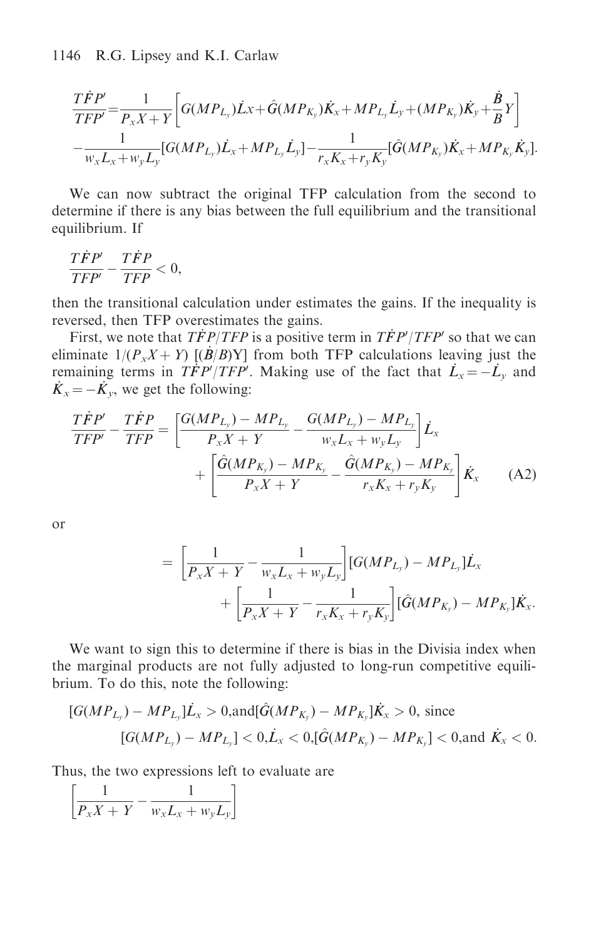$$
\frac{T\dot{F}P'}{TFP'} = \frac{1}{P_xX + Y} \bigg[ G(MP_{L_y})\dot{L}_x + \hat{G}(MP_{K_y})\dot{K}_x + MP_{L_y}\dot{L}_y + (MP_{K_y})\dot{K}_y + \frac{\dot{B}}{B}Y \bigg] \n- \frac{1}{w_xL_x + w_yL_y} [G(MP_{L_y})\dot{L}_x + MP_{L_y}\dot{L}_y] - \frac{1}{r_xK_x + r_yK_y} [\hat{G}(MP_{K_y})\dot{K}_x + MP_{K_y}\dot{K}_y].
$$

We can now subtract the original TFP calculation from the second to determine if there is any bias between the full equilibrium and the transitional equilibrium. If

$$
\frac{T\dot{F}P'}{TFP'} - \frac{T\dot{F}P}{TFP} < 0,
$$

then the transitional calculation under estimates the gains. If the inequality is reversed, then TFP overestimates the gains.

First, we note that  $T\dot{F}P/TFP$  is a positive term in  $T\dot{F}P'/TFP'$  so that we can eliminate  $1/(P_xX + Y)$  [( $\dot{B}/B$ )Y] from both TFP calculations leaving just the remaining terms in TFP'/TFP'. Making use of the fact that  $\dot{L}_x = -\dot{L}_y$  and  $\dot{K}_x = -\dot{K}_v$ , we get the following:

$$
\frac{T\dot{F}P'}{TFP'} - \frac{T\dot{F}P}{TFP} = \left[ \frac{G(MP_{L_y}) - MP_{L_y}}{P_xX + Y} - \frac{G(MP_{L_y}) - MP_{L_y}}{w_xL_x + w_yL_y} \right] \dot{L}_x + \left[ \frac{\hat{G}(MP_{K_y}) - MP_{K_y}}{P_xX + Y} - \frac{\hat{G}(MP_{K_y}) - MP_{K_y}}{r_xK_x + r_yK_y} \right] \dot{K}_x \tag{A2}
$$

or

$$
= \left[\frac{1}{P_xX+Y} - \frac{1}{w_xL_x+w_yL_y}\right][G(MP_{L_y}) - MP_{L_y}]\dot{L}_x + \left[\frac{1}{P_xX+Y} - \frac{1}{r_xK_x+r_yK_y}\right][\hat{G}(MP_{K_y}) - MP_{K_y}]\dot{K}_x.
$$

We want to sign this to determine if there is bias in the Divisia index when the marginal products are not fully adjusted to long-run competitive equilibrium. To do this, note the following:

$$
[G(MP_{L_y}) - MP_{L_y}] \dot{L}_x > 0, \text{and} [\hat{G}(MP_{K_y}) - MP_{K_y}] \dot{K}_x > 0, \text{ since}
$$
  

$$
[G(MP_{L_y}) - MP_{L_y}] < 0, \dot{L}_x < 0, [\hat{G}(MP_{K_y}) - MP_{K_y}] < 0, \text{and } \dot{K}_x < 0.
$$

Thus, the two expressions left to evaluate are

 $\frac{1}{P_x X + Y} - \frac{1}{w_x L_x + w_y L_y}$  $\begin{bmatrix} 1 & 1 & 1 \end{bmatrix}$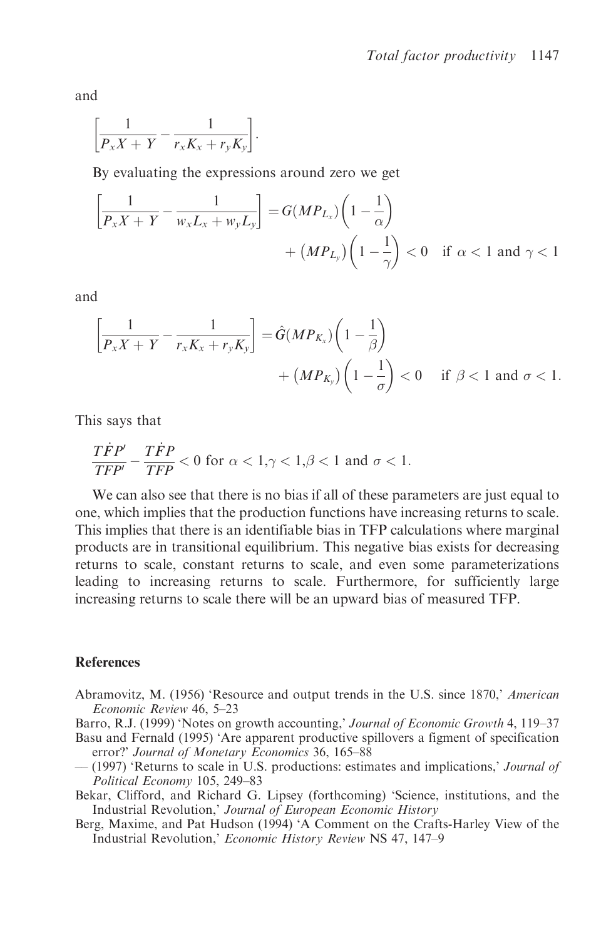and

$$
\left[\frac{1}{P_x X + Y} - \frac{1}{r_x K_x + r_y K_y}\right].
$$

By evaluating the expressions around zero we get

$$
\left[\frac{1}{P_x X + Y} - \frac{1}{w_x L_x + w_y L_y}\right] = G(M P_{L_x}) \left(1 - \frac{1}{\alpha}\right)
$$
  
+ 
$$
\left(M P_{L_y}\right) \left(1 - \frac{1}{\gamma}\right) < 0 \text{ if } \alpha < 1 \text{ and } \gamma < 1
$$

and

$$
\left[\frac{1}{P_xX+Y}-\frac{1}{r_xK_x+r_yK_y}\right] = \hat{G}(MP_{K_x})\left(1-\frac{1}{\beta}\right)
$$
  
+ 
$$
(MP_{K_y})\left(1-\frac{1}{\sigma}\right) < 0 \quad \text{if } \beta < 1 \text{ and } \sigma < 1.
$$

This says that

$$
\frac{T\dot{F}P'}{TFP'} - \frac{T\dot{F}P}{TFP} < 0 \text{ for } \alpha < 1, \gamma < 1, \beta < 1 \text{ and } \sigma < 1.
$$

We can also see that there is no bias if all of these parameters are just equal to one, which implies that the production functions have increasing returns to scale. This implies that there is an identifiable bias in TFP calculations where marginal products are in transitional equilibrium. This negative bias exists for decreasing returns to scale, constant returns to scale, and even some parameterizations leading to increasing returns to scale. Furthermore, for sufficiently large increasing returns to scale there will be an upward bias of measured TFP.

#### References

Abramovitz, M. (1956) 'Resource and output trends in the U.S. since 1870,' American Economic Review 46, 5–23

Barro, R.J. (1999) 'Notes on growth accounting,' Journal of Economic Growth 4, 119–37

- Basu and Fernald (1995) 'Are apparent productive spillovers a figment of specification error?' Journal of Monetary Economics 36, 165–88
- –– (1997) 'Returns to scale in U.S. productions: estimates and implications,' Journal of Political Economy 105, 249–83
- Bekar, Clifford, and Richard G. Lipsey (forthcoming) 'Science, institutions, and the Industrial Revolution,' Journal of European Economic History
- Berg, Maxime, and Pat Hudson (1994) 'A Comment on the Crafts-Harley View of the Industrial Revolution,' Economic History Review NS 47, 147–9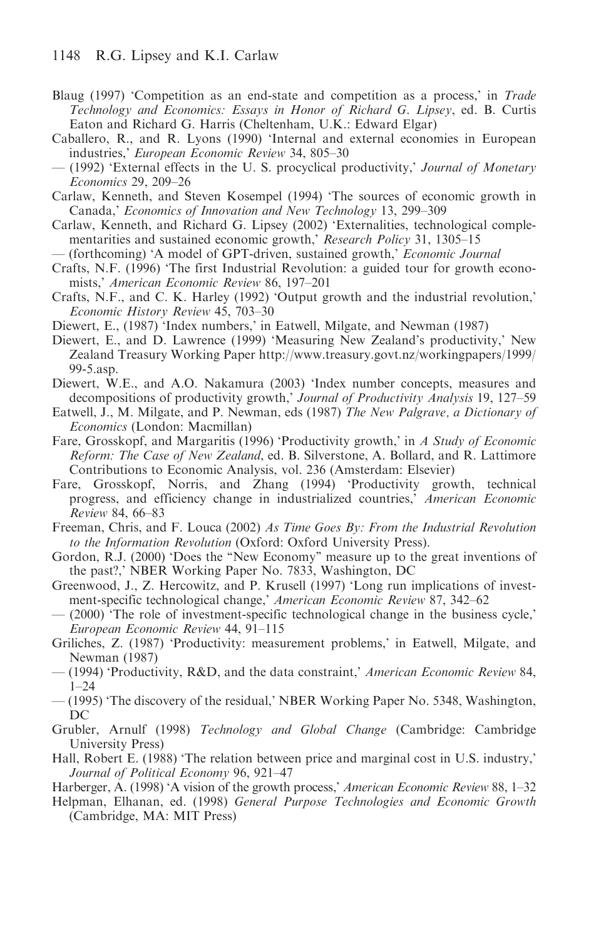- Blaug (1997) 'Competition as an end-state and competition as a process,' in Trade Technology and Economics: Essays in Honor of Richard G. Lipsey, ed. B. Curtis Eaton and Richard G. Harris (Cheltenham, U.K.: Edward Elgar)
- Caballero, R., and R. Lyons (1990) 'Internal and external economies in European industries,' European Economic Review 34, 805–30
- –– (1992) 'External effects in the U. S. procyclical productivity,' Journal of Monetary Economics 29, 209–26
- Carlaw, Kenneth, and Steven Kosempel (1994) 'The sources of economic growth in Canada,' Economics of Innovation and New Technology 13, 299–309
- Carlaw, Kenneth, and Richard G. Lipsey (2002) 'Externalities, technological complementarities and sustained economic growth,' Research Policy 31, 1305–15
- –– (forthcoming) 'A model of GPT-driven, sustained growth,' Economic Journal
- Crafts, N.F. (1996) 'The first Industrial Revolution: a guided tour for growth economists,' American Economic Review 86, 197–201
- Crafts, N.F., and C. K. Harley (1992) 'Output growth and the industrial revolution,' Economic History Review 45, 703–30
- Diewert, E., (1987) 'Index numbers,' in Eatwell, Milgate, and Newman (1987)
- Diewert, E., and D. Lawrence (1999) 'Measuring New Zealand's productivity,' New Zealand Treasury Working Paper http://www.treasury.govt.nz/workingpapers/1999/  $99-5.9$ sp.
- Diewert, W.E., and A.O. Nakamura (2003) 'Index number concepts, measures and decompositions of productivity growth,' Journal of Productivity Analysis 19, 127–59
- Eatwell, J., M. Milgate, and P. Newman, eds (1987) The New Palgrave, a Dictionary of Economics (London: Macmillan)
- Fare, Grosskopf, and Margaritis (1996) 'Productivity growth,' in A Study of Economic Reform: The Case of New Zealand, ed. B. Silverstone, A. Bollard, and R. Lattimore Contributions to Economic Analysis, vol. 236 (Amsterdam: Elsevier)
- Fare, Grosskopf, Norris, and Zhang (1994) 'Productivity growth, technical progress, and efficiency change in industrialized countries,' American Economic Review 84, 66–83
- Freeman, Chris, and F. Louca (2002) As Time Goes By: From the Industrial Revolution to the Information Revolution (Oxford: Oxford University Press).
- Gordon, R.J. (2000) 'Does the ''New Economy'' measure up to the great inventions of the past?,' NBER Working Paper No. 7833, Washington, DC
- Greenwood, J., Z. Hercowitz, and P. Krusell (1997) 'Long run implications of investment-specific technological change,' American Economic Review 87, 342–62
- –– (2000) 'The role of investment-specific technological change in the business cycle,' European Economic Review 44, 91–115
- Griliches, Z. (1987) 'Productivity: measurement problems,' in Eatwell, Milgate, and Newman (1987)
- –– (1994) 'Productivity, R&D, and the data constraint,' American Economic Review 84, 1–24
- –– (1995) 'The discovery of the residual,' NBER Working Paper No. 5348, Washington, DC
- Grubler, Arnulf (1998) Technology and Global Change (Cambridge: Cambridge University Press)
- Hall, Robert E. (1988) 'The relation between price and marginal cost in U.S. industry,' Journal of Political Economy 96, 921–47
- Harberger, A. (1998) 'A vision of the growth process,' *American Economic Review* 88, 1–32
- Helpman, Elhanan, ed. (1998) General Purpose Technologies and Economic Growth (Cambridge, MA: MIT Press)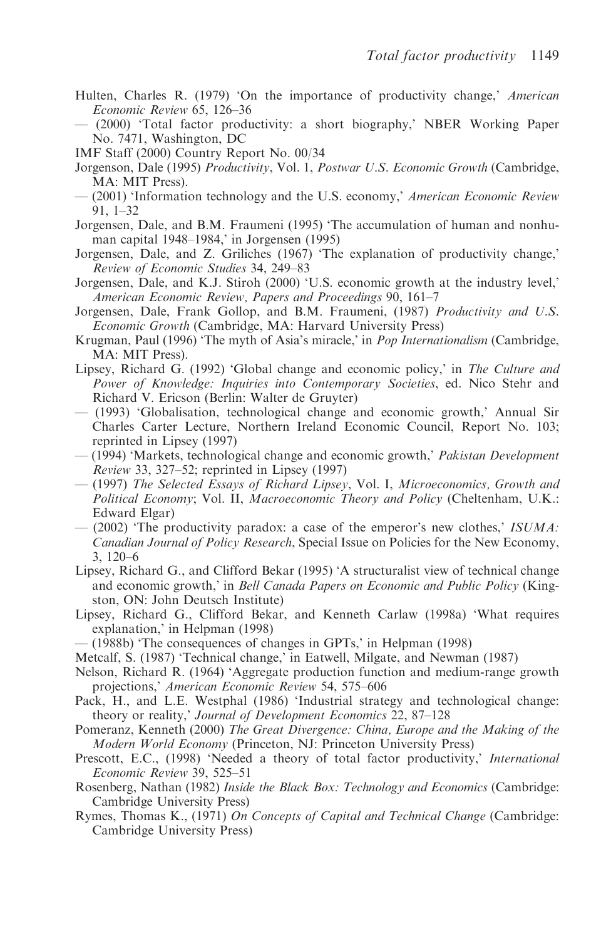- Hulten, Charles R. (1979) 'On the importance of productivity change,' American Economic Review 65, 126–36
- –– (2000) 'Total factor productivity: a short biography,' NBER Working Paper No. 7471, Washington, DC
- IMF Staff (2000) Country Report No. 00/34
- Jorgenson, Dale (1995) Productivity, Vol. 1, Postwar U.S. Economic Growth (Cambridge, MA: MIT Press).
- –– (2001) 'Information technology and the U.S. economy,' American Economic Review 91, 1–32
- Jorgensen, Dale, and B.M. Fraumeni (1995) 'The accumulation of human and nonhuman capital 1948–1984,' in Jorgensen (1995)
- Jorgensen, Dale, and Z. Griliches (1967) 'The explanation of productivity change,' Review of Economic Studies 34, 249–83
- Jorgensen, Dale, and K.J. Stiroh (2000) 'U.S. economic growth at the industry level,' American Economic Review, Papers and Proceedings 90, 161–7
- Jorgensen, Dale, Frank Gollop, and B.M. Fraumeni, (1987) Productivity and U.S. Economic Growth (Cambridge, MA: Harvard University Press)
- Krugman, Paul (1996) 'The myth of Asia's miracle,' in Pop Internationalism (Cambridge, MA: MIT Press).
- Lipsey, Richard G. (1992) 'Global change and economic policy,' in The Culture and Power of Knowledge: Inquiries into Contemporary Societies, ed. Nico Stehr and Richard V. Ericson (Berlin: Walter de Gruyter)
- –– (1993) 'Globalisation, technological change and economic growth,' Annual Sir Charles Carter Lecture, Northern Ireland Economic Council, Report No. 103; reprinted in Lipsey (1997)
- –– (1994) 'Markets, technological change and economic growth,' Pakistan Development Review 33, 327–52; reprinted in Lipsey (1997)
- –– (1997) The Selected Essays of Richard Lipsey, Vol. I, Microeconomics, Growth and Political Economy; Vol. II, Macroeconomic Theory and Policy (Cheltenham, U.K.: Edward Elgar)
- $-$  (2002) 'The productivity paradox: a case of the emperor's new clothes,' ISUMA: Canadian Journal of Policy Research, Special Issue on Policies for the New Economy, 3, 120–6
- Lipsey, Richard G., and Clifford Bekar (1995) 'A structuralist view of technical change and economic growth,' in Bell Canada Papers on Economic and Public Policy (Kingston, ON: John Deutsch Institute)
- Lipsey, Richard G., Clifford Bekar, and Kenneth Carlaw (1998a) 'What requires explanation,' in Helpman (1998)
- –– (1988b) 'The consequences of changes in GPTs,' in Helpman (1998)
- Metcalf, S. (1987) 'Technical change,' in Eatwell, Milgate, and Newman (1987)
- Nelson, Richard R. (1964) 'Aggregate production function and medium-range growth projections,' American Economic Review 54, 575–606
- Pack, H., and L.E. Westphal (1986) 'Industrial strategy and technological change: theory or reality,' Journal of Development Economics 22, 87–128
- Pomeranz, Kenneth (2000) The Great Divergence: China, Europe and the Making of the Modern World Economy (Princeton, NJ: Princeton University Press)
- Prescott, E.C., (1998) 'Needed a theory of total factor productivity,' *International* Economic Review 39, 525–51
- Rosenberg, Nathan (1982) Inside the Black Box: Technology and Economics (Cambridge: Cambridge University Press)
- Rymes, Thomas K., (1971) On Concepts of Capital and Technical Change (Cambridge: Cambridge University Press)